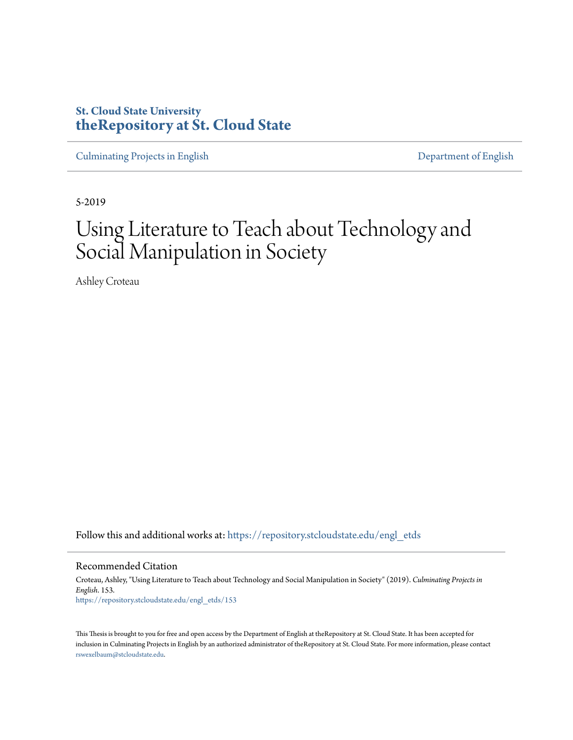# **St. Cloud State University [theRepository at St. Cloud State](https://repository.stcloudstate.edu?utm_source=repository.stcloudstate.edu%2Fengl_etds%2F153&utm_medium=PDF&utm_campaign=PDFCoverPages)**

[Culminating Projects in English](https://repository.stcloudstate.edu/engl_etds?utm_source=repository.stcloudstate.edu%2Fengl_etds%2F153&utm_medium=PDF&utm_campaign=PDFCoverPages) [Department of English](https://repository.stcloudstate.edu/engl?utm_source=repository.stcloudstate.edu%2Fengl_etds%2F153&utm_medium=PDF&utm_campaign=PDFCoverPages)

5-2019

# Using Literature to Teach about Technology and Social Manipulation in Society

Ashley Croteau

Follow this and additional works at: [https://repository.stcloudstate.edu/engl\\_etds](https://repository.stcloudstate.edu/engl_etds?utm_source=repository.stcloudstate.edu%2Fengl_etds%2F153&utm_medium=PDF&utm_campaign=PDFCoverPages)

Recommended Citation

Croteau, Ashley, "Using Literature to Teach about Technology and Social Manipulation in Society" (2019). *Culminating Projects in English*. 153. [https://repository.stcloudstate.edu/engl\\_etds/153](https://repository.stcloudstate.edu/engl_etds/153?utm_source=repository.stcloudstate.edu%2Fengl_etds%2F153&utm_medium=PDF&utm_campaign=PDFCoverPages)

This Thesis is brought to you for free and open access by the Department of English at theRepository at St. Cloud State. It has been accepted for inclusion in Culminating Projects in English by an authorized administrator of theRepository at St. Cloud State. For more information, please contact [rswexelbaum@stcloudstate.edu](mailto:rswexelbaum@stcloudstate.edu).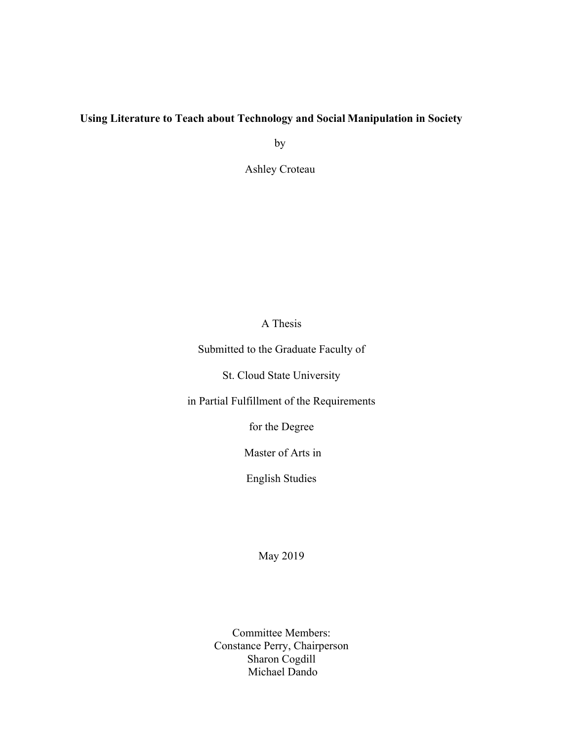# **Using Literature to Teach about Technology and Social Manipulation in Society**

by

Ashley Croteau

# A Thesis

Submitted to the Graduate Faculty of

St. Cloud State University

in Partial Fulfillment of the Requirements

for the Degree

Master of Arts in

English Studies

May 2019

Committee Members: Constance Perry, Chairperson Sharon Cogdill Michael Dando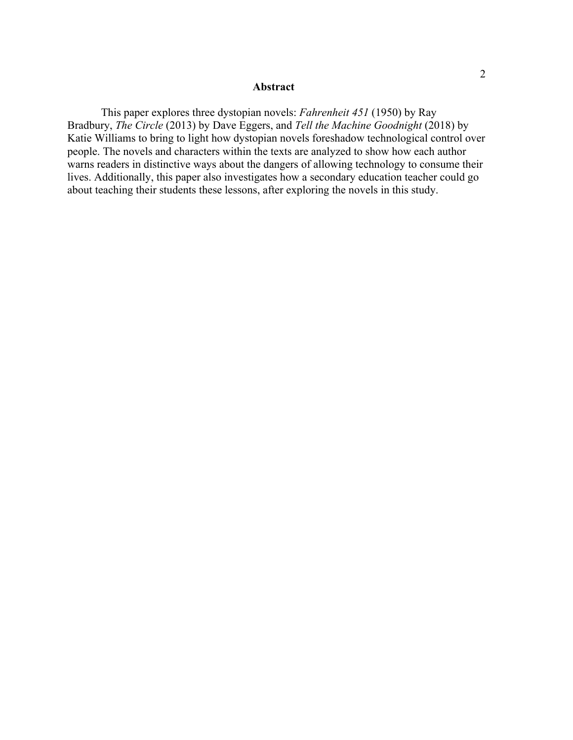#### **Abstract**

This paper explores three dystopian novels: *Fahrenheit 451* (1950) by Ray Bradbury, *The Circle* (2013) by Dave Eggers, and *Tell the Machine Goodnight* (2018) by Katie Williams to bring to light how dystopian novels foreshadow technological control over people. The novels and characters within the texts are analyzed to show how each author warns readers in distinctive ways about the dangers of allowing technology to consume their lives. Additionally, this paper also investigates how a secondary education teacher could go about teaching their students these lessons, after exploring the novels in this study.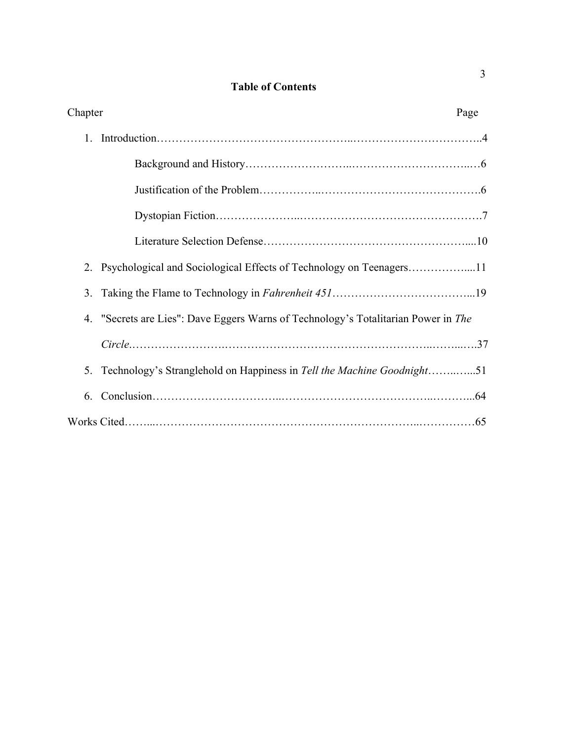# **Table of Contents**

| Chapter |                                                                                    | Page |
|---------|------------------------------------------------------------------------------------|------|
|         |                                                                                    |      |
|         |                                                                                    |      |
|         |                                                                                    |      |
|         |                                                                                    |      |
|         |                                                                                    |      |
| 2.      |                                                                                    |      |
| 3.      |                                                                                    |      |
|         | 4. "Secrets are Lies": Dave Eggers Warns of Technology's Totalitarian Power in The |      |
|         | $Circle \dots 37$                                                                  |      |
|         | 5. Technology's Stranglehold on Happiness in Tell the Machine Goodnight51          |      |
| 6.      |                                                                                    |      |
|         |                                                                                    |      |

3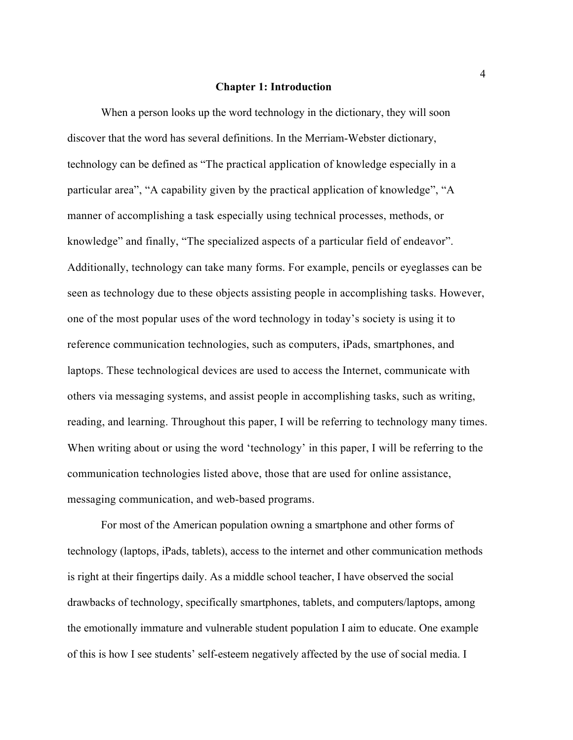#### **Chapter 1: Introduction**

When a person looks up the word technology in the dictionary, they will soon discover that the word has several definitions. In the Merriam-Webster dictionary, technology can be defined as "The practical application of knowledge especially in a particular area", "A capability given by the practical application of knowledge", "A manner of accomplishing a task especially using technical processes, methods, or knowledge" and finally, "The specialized aspects of a particular field of endeavor". Additionally, technology can take many forms. For example, pencils or eyeglasses can be seen as technology due to these objects assisting people in accomplishing tasks. However, one of the most popular uses of the word technology in today's society is using it to reference communication technologies, such as computers, iPads, smartphones, and laptops. These technological devices are used to access the Internet, communicate with others via messaging systems, and assist people in accomplishing tasks, such as writing, reading, and learning. Throughout this paper, I will be referring to technology many times. When writing about or using the word 'technology' in this paper, I will be referring to the communication technologies listed above, those that are used for online assistance, messaging communication, and web-based programs.

For most of the American population owning a smartphone and other forms of technology (laptops, iPads, tablets), access to the internet and other communication methods is right at their fingertips daily. As a middle school teacher, I have observed the social drawbacks of technology, specifically smartphones, tablets, and computers/laptops, among the emotionally immature and vulnerable student population I aim to educate. One example of this is how I see students' self-esteem negatively affected by the use of social media. I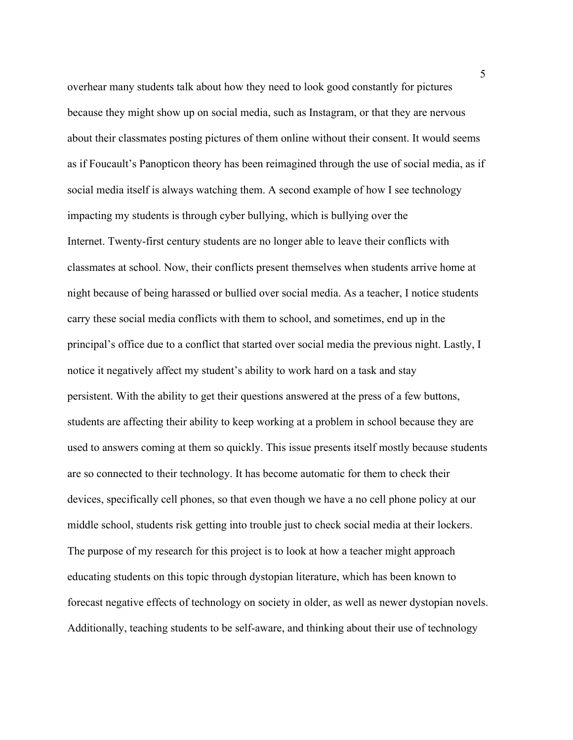overhear many students talk about how they need to look good constantly for pictures because they might show up on social media, such as Instagram, or that they are nervous about their classmates posting pictures of them online without their consent. It would seems as if Foucault's Panopticon theory has been reimagined through the use of social media, as if social media itself is always watching them. A second example of how I see technology impacting my students is through cyber bullying, which is bullying over the Internet. Twenty-first century students are no longer able to leave their conflicts with classmates at school. Now, their conflicts present themselves when students arrive home at night because of being harassed or bullied over social media. As a teacher, I notice students carry these social media conflicts with them to school, and sometimes, end up in the principal's office due to a conflict that started over social media the previous night. Lastly, I notice it negatively affect my student's ability to work hard on a task and stay persistent. With the ability to get their questions answered at the press of a few buttons, students are affecting their ability to keep working at a problem in school because they are used to answers coming at them so quickly. This issue presents itself mostly because students are so connected to their technology. It has become automatic for them to check their devices, specifically cell phones, so that even though we have a no cell phone policy at our middle school, students risk getting into trouble just to check social media at their lockers. The purpose of my research for this project is to look at how a teacher might approach educating students on this topic through dystopian literature, which has been known to forecast negative effects of technology on society in older, as well as newer dystopian novels. Additionally, teaching students to be self-aware, and thinking about their use of technology

5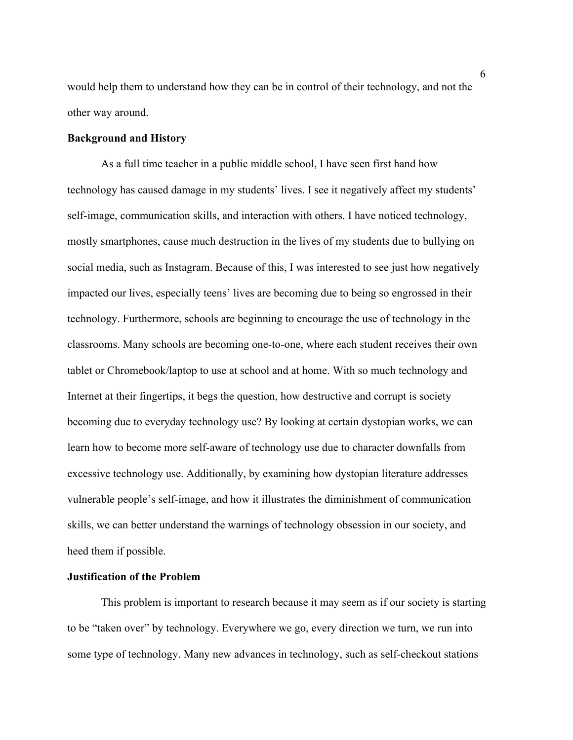would help them to understand how they can be in control of their technology, and not the other way around.

# **Background and History**

As a full time teacher in a public middle school, I have seen first hand how technology has caused damage in my students' lives. I see it negatively affect my students' self-image, communication skills, and interaction with others. I have noticed technology, mostly smartphones, cause much destruction in the lives of my students due to bullying on social media, such as Instagram. Because of this, I was interested to see just how negatively impacted our lives, especially teens' lives are becoming due to being so engrossed in their technology. Furthermore, schools are beginning to encourage the use of technology in the classrooms. Many schools are becoming one-to-one, where each student receives their own tablet or Chromebook/laptop to use at school and at home. With so much technology and Internet at their fingertips, it begs the question, how destructive and corrupt is society becoming due to everyday technology use? By looking at certain dystopian works, we can learn how to become more self-aware of technology use due to character downfalls from excessive technology use. Additionally, by examining how dystopian literature addresses vulnerable people's self-image, and how it illustrates the diminishment of communication skills, we can better understand the warnings of technology obsession in our society, and heed them if possible.

## **Justification of the Problem**

This problem is important to research because it may seem as if our society is starting to be "taken over" by technology. Everywhere we go, every direction we turn, we run into some type of technology. Many new advances in technology, such as self-checkout stations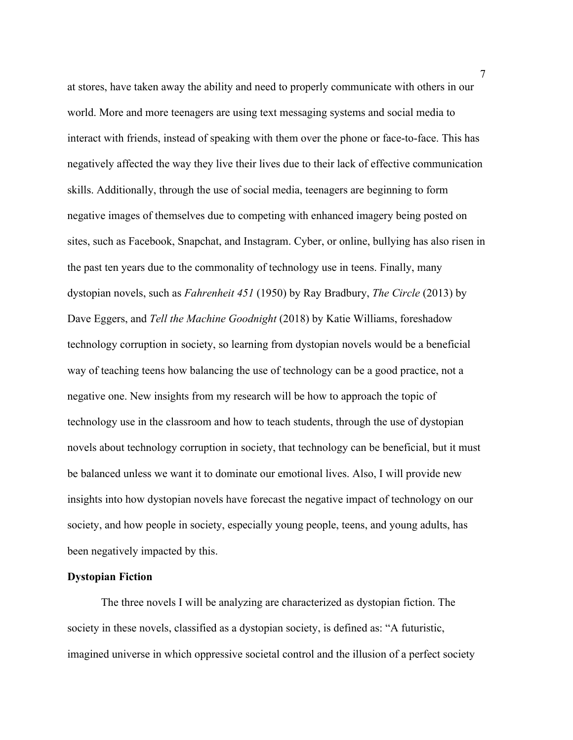at stores, have taken away the ability and need to properly communicate with others in our world. More and more teenagers are using text messaging systems and social media to interact with friends, instead of speaking with them over the phone or face-to-face. This has negatively affected the way they live their lives due to their lack of effective communication skills. Additionally, through the use of social media, teenagers are beginning to form negative images of themselves due to competing with enhanced imagery being posted on sites, such as Facebook, Snapchat, and Instagram. Cyber, or online, bullying has also risen in the past ten years due to the commonality of technology use in teens. Finally, many dystopian novels, such as *Fahrenheit 451* (1950) by Ray Bradbury, *The Circle* (2013) by Dave Eggers, and *Tell the Machine Goodnight* (2018) by Katie Williams, foreshadow technology corruption in society, so learning from dystopian novels would be a beneficial way of teaching teens how balancing the use of technology can be a good practice, not a negative one. New insights from my research will be how to approach the topic of technology use in the classroom and how to teach students, through the use of dystopian novels about technology corruption in society, that technology can be beneficial, but it must be balanced unless we want it to dominate our emotional lives. Also, I will provide new insights into how dystopian novels have forecast the negative impact of technology on our society, and how people in society, especially young people, teens, and young adults, has been negatively impacted by this.

## **Dystopian Fiction**

The three novels I will be analyzing are characterized as dystopian fiction. The society in these novels, classified as a dystopian society, is defined as: "A futuristic, imagined universe in which oppressive societal control and the illusion of a perfect society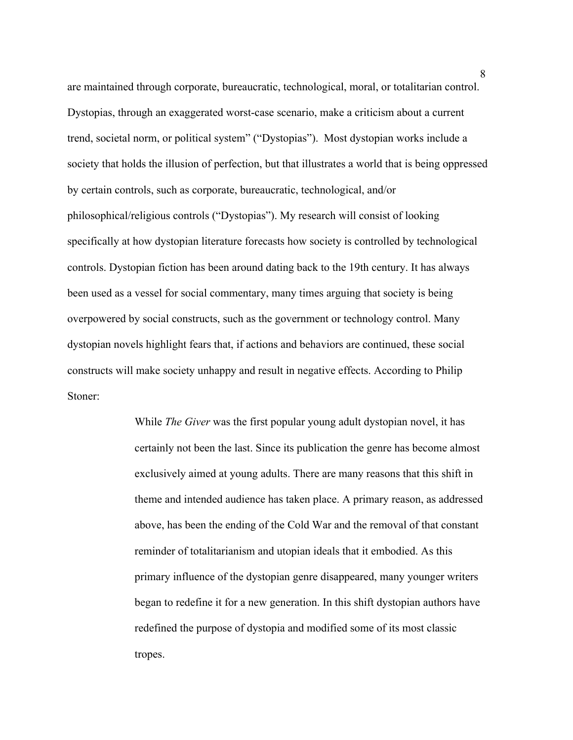are maintained through corporate, bureaucratic, technological, moral, or totalitarian control. Dystopias, through an exaggerated worst-case scenario, make a criticism about a current trend, societal norm, or political system" ("Dystopias"). Most dystopian works include a society that holds the illusion of perfection, but that illustrates a world that is being oppressed by certain controls, such as corporate, bureaucratic, technological, and/or philosophical/religious controls ("Dystopias"). My research will consist of looking specifically at how dystopian literature forecasts how society is controlled by technological controls. Dystopian fiction has been around dating back to the 19th century. It has always been used as a vessel for social commentary, many times arguing that society is being overpowered by social constructs, such as the government or technology control. Many dystopian novels highlight fears that, if actions and behaviors are continued, these social constructs will make society unhappy and result in negative effects. According to Philip Stoner:

> While *The Giver* was the first popular young adult dystopian novel, it has certainly not been the last. Since its publication the genre has become almost exclusively aimed at young adults. There are many reasons that this shift in theme and intended audience has taken place. A primary reason, as addressed above, has been the ending of the Cold War and the removal of that constant reminder of totalitarianism and utopian ideals that it embodied. As this primary influence of the dystopian genre disappeared, many younger writers began to redefine it for a new generation. In this shift dystopian authors have redefined the purpose of dystopia and modified some of its most classic tropes.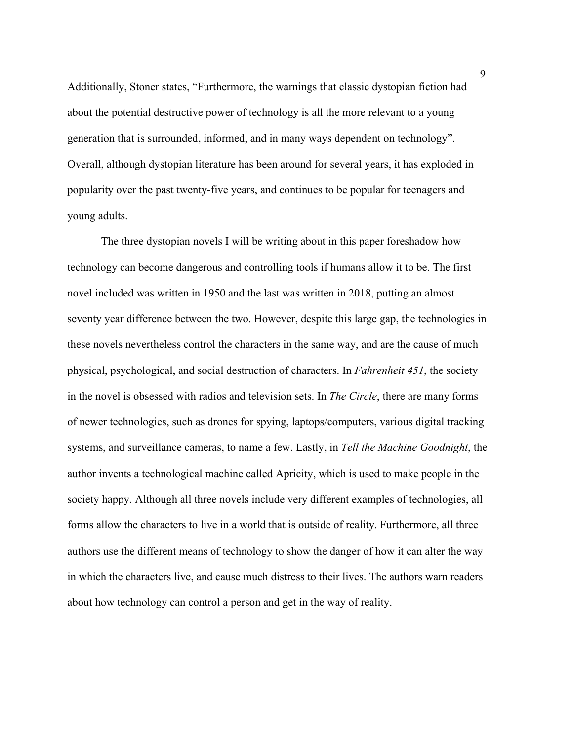Additionally, Stoner states, "Furthermore, the warnings that classic dystopian fiction had about the potential destructive power of technology is all the more relevant to a young generation that is surrounded, informed, and in many ways dependent on technology". Overall, although dystopian literature has been around for several years, it has exploded in popularity over the past twenty-five years, and continues to be popular for teenagers and young adults.

The three dystopian novels I will be writing about in this paper foreshadow how technology can become dangerous and controlling tools if humans allow it to be. The first novel included was written in 1950 and the last was written in 2018, putting an almost seventy year difference between the two. However, despite this large gap, the technologies in these novels nevertheless control the characters in the same way, and are the cause of much physical, psychological, and social destruction of characters. In *Fahrenheit 451*, the society in the novel is obsessed with radios and television sets. In *The Circle*, there are many forms of newer technologies, such as drones for spying, laptops/computers, various digital tracking systems, and surveillance cameras, to name a few. Lastly, in *Tell the Machine Goodnight*, the author invents a technological machine called Apricity, which is used to make people in the society happy. Although all three novels include very different examples of technologies, all forms allow the characters to live in a world that is outside of reality. Furthermore, all three authors use the different means of technology to show the danger of how it can alter the way in which the characters live, and cause much distress to their lives. The authors warn readers about how technology can control a person and get in the way of reality.

9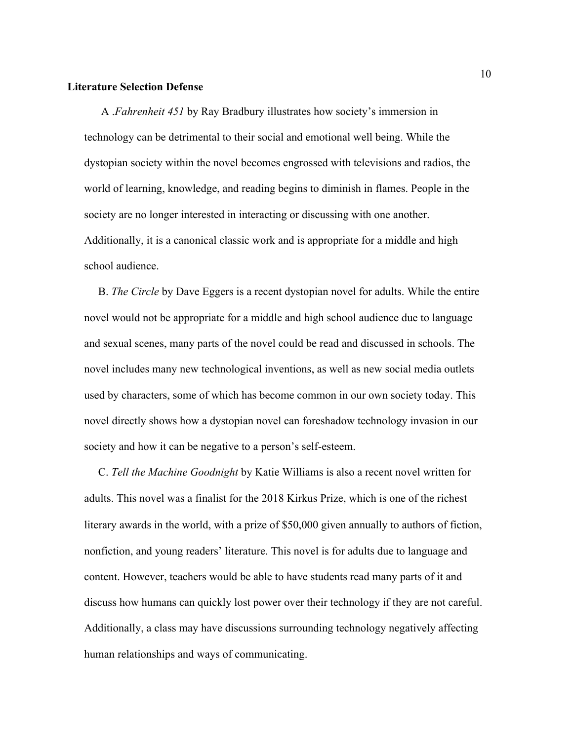#### **Literature Selection Defense**

A .*Fahrenheit 451* by Ray Bradbury illustrates how society's immersion in technology can be detrimental to their social and emotional well being. While the dystopian society within the novel becomes engrossed with televisions and radios, the world of learning, knowledge, and reading begins to diminish in flames. People in the society are no longer interested in interacting or discussing with one another. Additionally, it is a canonical classic work and is appropriate for a middle and high school audience.

 B. *The Circle* by Dave Eggers is a recent dystopian novel for adults. While the entire novel would not be appropriate for a middle and high school audience due to language and sexual scenes, many parts of the novel could be read and discussed in schools. The novel includes many new technological inventions, as well as new social media outlets used by characters, some of which has become common in our own society today. This novel directly shows how a dystopian novel can foreshadow technology invasion in our society and how it can be negative to a person's self-esteem.

 C. *Tell the Machine Goodnight* by Katie Williams is also a recent novel written for adults. This novel was a finalist for the 2018 Kirkus Prize, which is one of the richest literary awards in the world, with a prize of \$50,000 given annually to authors of fiction, nonfiction, and young readers' literature. This novel is for adults due to language and content. However, teachers would be able to have students read many parts of it and discuss how humans can quickly lost power over their technology if they are not careful. Additionally, a class may have discussions surrounding technology negatively affecting human relationships and ways of communicating.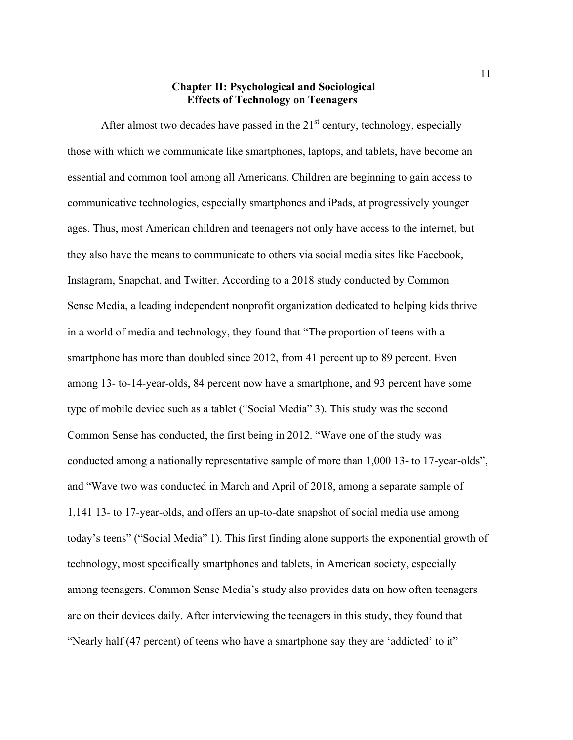## **Chapter II: Psychological and Sociological Effects of Technology on Teenagers**

After almost two decades have passed in the  $21<sup>st</sup>$  century, technology, especially those with which we communicate like smartphones, laptops, and tablets, have become an essential and common tool among all Americans. Children are beginning to gain access to communicative technologies, especially smartphones and iPads, at progressively younger ages. Thus, most American children and teenagers not only have access to the internet, but they also have the means to communicate to others via social media sites like Facebook, Instagram, Snapchat, and Twitter. According to a 2018 study conducted by Common Sense Media, a leading independent nonprofit organization dedicated to helping kids thrive in a world of media and technology, they found that "The proportion of teens with a smartphone has more than doubled since 2012, from 41 percent up to 89 percent. Even among 13- to-14-year-olds, 84 percent now have a smartphone, and 93 percent have some type of mobile device such as a tablet ("Social Media" 3). This study was the second Common Sense has conducted, the first being in 2012. "Wave one of the study was conducted among a nationally representative sample of more than 1,000 13- to 17-year-olds", and "Wave two was conducted in March and April of 2018, among a separate sample of 1,141 13- to 17-year-olds, and offers an up-to-date snapshot of social media use among today's teens" ("Social Media" 1). This first finding alone supports the exponential growth of technology, most specifically smartphones and tablets, in American society, especially among teenagers. Common Sense Media's study also provides data on how often teenagers are on their devices daily. After interviewing the teenagers in this study, they found that "Nearly half (47 percent) of teens who have a smartphone say they are 'addicted' to it"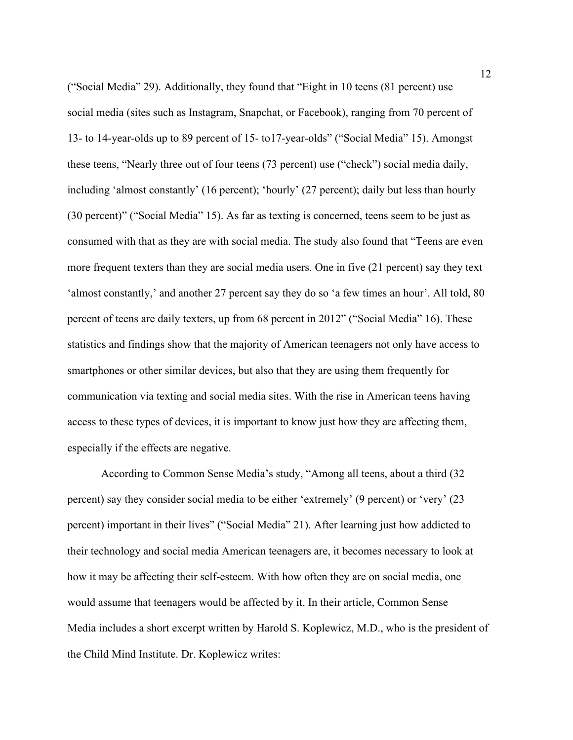("Social Media" 29). Additionally, they found that "Eight in 10 teens (81 percent) use social media (sites such as Instagram, Snapchat, or Facebook), ranging from 70 percent of 13- to 14-year-olds up to 89 percent of 15- to17-year-olds" ("Social Media" 15). Amongst these teens, "Nearly three out of four teens (73 percent) use ("check") social media daily, including 'almost constantly' (16 percent); 'hourly' (27 percent); daily but less than hourly (30 percent)" ("Social Media" 15). As far as texting is concerned, teens seem to be just as consumed with that as they are with social media. The study also found that "Teens are even more frequent texters than they are social media users. One in five (21 percent) say they text 'almost constantly,' and another 27 percent say they do so 'a few times an hour'. All told, 80 percent of teens are daily texters, up from 68 percent in 2012" ("Social Media" 16). These statistics and findings show that the majority of American teenagers not only have access to smartphones or other similar devices, but also that they are using them frequently for communication via texting and social media sites. With the rise in American teens having access to these types of devices, it is important to know just how they are affecting them, especially if the effects are negative.

According to Common Sense Media's study, "Among all teens, about a third (32 percent) say they consider social media to be either 'extremely' (9 percent) or 'very' (23 percent) important in their lives" ("Social Media" 21). After learning just how addicted to their technology and social media American teenagers are, it becomes necessary to look at how it may be affecting their self-esteem. With how often they are on social media, one would assume that teenagers would be affected by it. In their article, Common Sense Media includes a short excerpt written by Harold S. Koplewicz, M.D., who is the president of the Child Mind Institute. Dr. Koplewicz writes: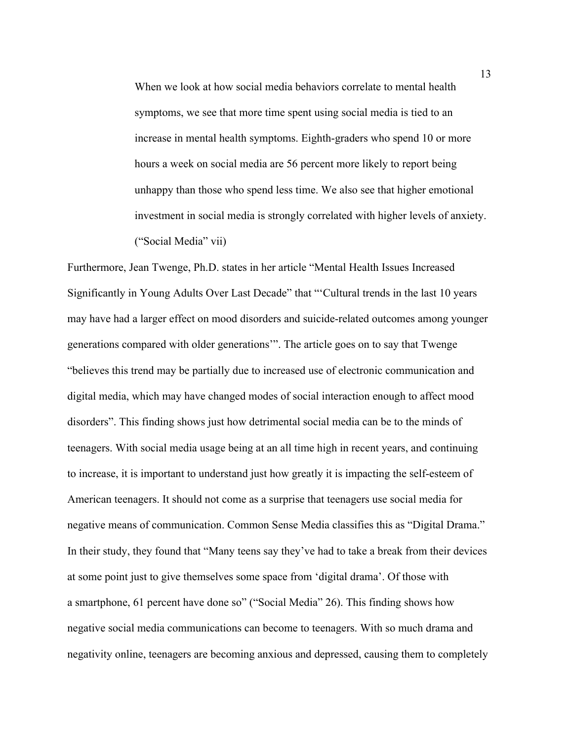When we look at how social media behaviors correlate to mental health symptoms, we see that more time spent using social media is tied to an increase in mental health symptoms. Eighth-graders who spend 10 or more hours a week on social media are 56 percent more likely to report being unhappy than those who spend less time. We also see that higher emotional investment in social media is strongly correlated with higher levels of anxiety. ("Social Media" vii)

Furthermore, Jean Twenge, Ph.D. states in her article "Mental Health Issues Increased Significantly in Young Adults Over Last Decade" that "'Cultural trends in the last 10 years may have had a larger effect on mood disorders and suicide-related outcomes among younger generations compared with older generations'". The article goes on to say that Twenge "believes this trend may be partially due to increased use of electronic communication and digital media, which may have changed modes of social interaction enough to affect mood disorders". This finding shows just how detrimental social media can be to the minds of teenagers. With social media usage being at an all time high in recent years, and continuing to increase, it is important to understand just how greatly it is impacting the self-esteem of American teenagers. It should not come as a surprise that teenagers use social media for negative means of communication. Common Sense Media classifies this as "Digital Drama." In their study, they found that "Many teens say they've had to take a break from their devices at some point just to give themselves some space from 'digital drama'. Of those with a smartphone, 61 percent have done so" ("Social Media" 26). This finding shows how negative social media communications can become to teenagers. With so much drama and negativity online, teenagers are becoming anxious and depressed, causing them to completely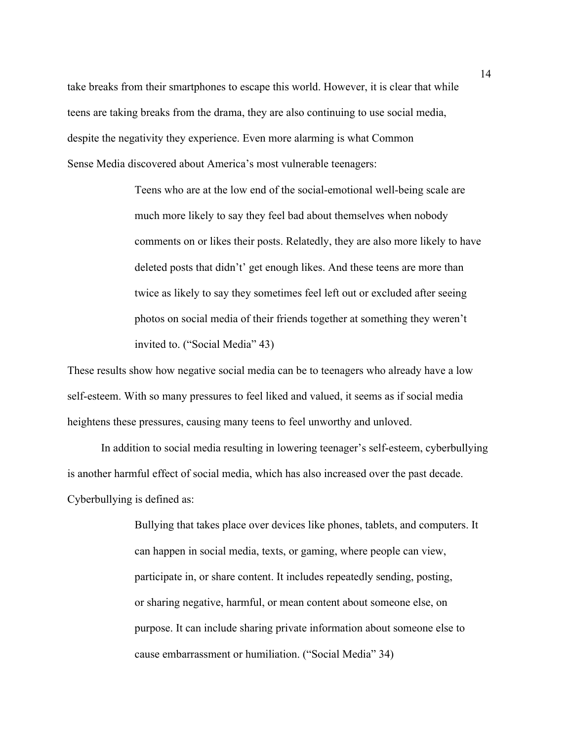take breaks from their smartphones to escape this world. However, it is clear that while teens are taking breaks from the drama, they are also continuing to use social media, despite the negativity they experience. Even more alarming is what Common Sense Media discovered about America's most vulnerable teenagers:

> Teens who are at the low end of the social-emotional well-being scale are much more likely to say they feel bad about themselves when nobody comments on or likes their posts. Relatedly, they are also more likely to have deleted posts that didn't' get enough likes. And these teens are more than twice as likely to say they sometimes feel left out or excluded after seeing photos on social media of their friends together at something they weren't invited to. ("Social Media" 43)

These results show how negative social media can be to teenagers who already have a low self-esteem. With so many pressures to feel liked and valued, it seems as if social media heightens these pressures, causing many teens to feel unworthy and unloved.

In addition to social media resulting in lowering teenager's self-esteem, cyberbullying is another harmful effect of social media, which has also increased over the past decade. Cyberbullying is defined as:

> Bullying that takes place over devices like phones, tablets, and computers. It can happen in social media, texts, or gaming, where people can view, participate in, or share content. It includes repeatedly sending, posting, or sharing negative, harmful, or mean content about someone else, on purpose. It can include sharing private information about someone else to cause embarrassment or humiliation. ("Social Media" 34)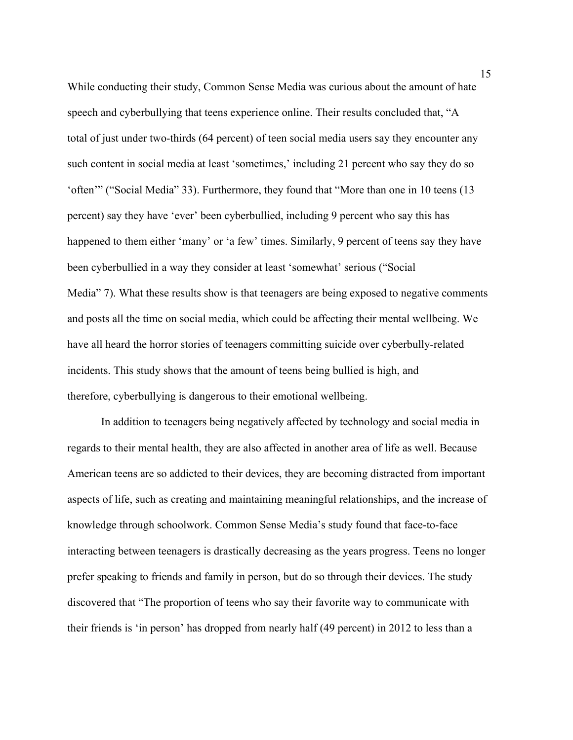While conducting their study, Common Sense Media was curious about the amount of hate speech and cyberbullying that teens experience online. Their results concluded that, "A total of just under two-thirds (64 percent) of teen social media users say they encounter any such content in social media at least 'sometimes,' including 21 percent who say they do so 'often'" ("Social Media" 33). Furthermore, they found that "More than one in 10 teens (13 percent) say they have 'ever' been cyberbullied, including 9 percent who say this has happened to them either 'many' or 'a few' times. Similarly, 9 percent of teens say they have been cyberbullied in a way they consider at least 'somewhat' serious ("Social Media" 7). What these results show is that teenagers are being exposed to negative comments and posts all the time on social media, which could be affecting their mental wellbeing. We have all heard the horror stories of teenagers committing suicide over cyberbully-related incidents. This study shows that the amount of teens being bullied is high, and therefore, cyberbullying is dangerous to their emotional wellbeing.

In addition to teenagers being negatively affected by technology and social media in regards to their mental health, they are also affected in another area of life as well. Because American teens are so addicted to their devices, they are becoming distracted from important aspects of life, such as creating and maintaining meaningful relationships, and the increase of knowledge through schoolwork. Common Sense Media's study found that face-to-face interacting between teenagers is drastically decreasing as the years progress. Teens no longer prefer speaking to friends and family in person, but do so through their devices. The study discovered that "The proportion of teens who say their favorite way to communicate with their friends is 'in person' has dropped from nearly half (49 percent) in 2012 to less than a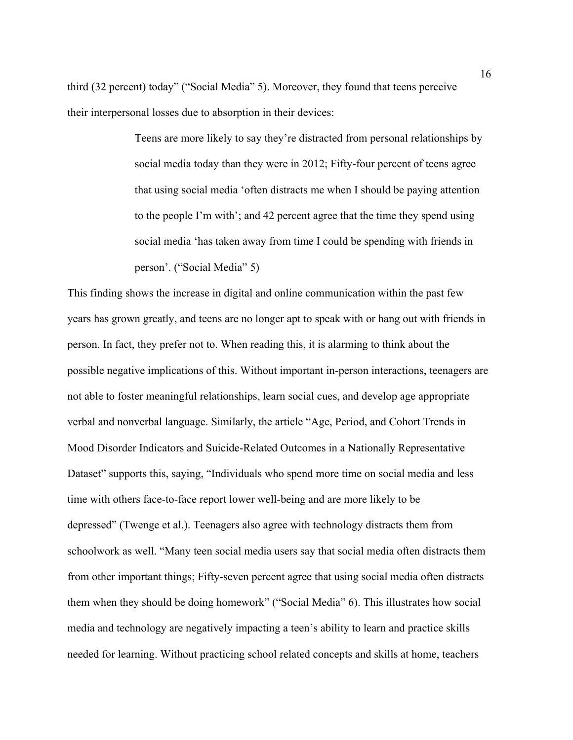third (32 percent) today" ("Social Media" 5). Moreover, they found that teens perceive their interpersonal losses due to absorption in their devices:

> Teens are more likely to say they're distracted from personal relationships by social media today than they were in 2012; Fifty-four percent of teens agree that using social media 'often distracts me when I should be paying attention to the people I'm with'; and 42 percent agree that the time they spend using social media 'has taken away from time I could be spending with friends in person'. ("Social Media" 5)

This finding shows the increase in digital and online communication within the past few years has grown greatly, and teens are no longer apt to speak with or hang out with friends in person. In fact, they prefer not to. When reading this, it is alarming to think about the possible negative implications of this. Without important in-person interactions, teenagers are not able to foster meaningful relationships, learn social cues, and develop age appropriate verbal and nonverbal language. Similarly, the article "Age, Period, and Cohort Trends in Mood Disorder Indicators and Suicide-Related Outcomes in a Nationally Representative Dataset" supports this, saying, "Individuals who spend more time on social media and less time with others face-to-face report lower well-being and are more likely to be depressed" (Twenge et al.). Teenagers also agree with technology distracts them from schoolwork as well. "Many teen social media users say that social media often distracts them from other important things; Fifty-seven percent agree that using social media often distracts them when they should be doing homework" ("Social Media" 6). This illustrates how social media and technology are negatively impacting a teen's ability to learn and practice skills needed for learning. Without practicing school related concepts and skills at home, teachers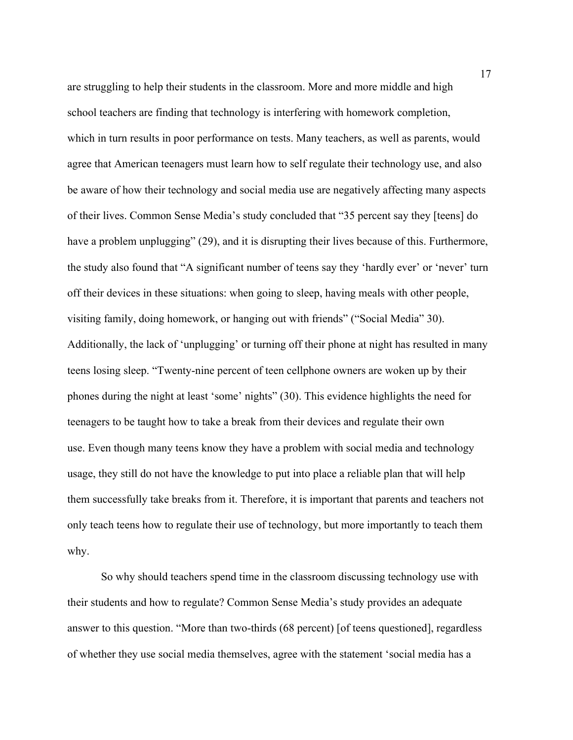are struggling to help their students in the classroom. More and more middle and high school teachers are finding that technology is interfering with homework completion, which in turn results in poor performance on tests. Many teachers, as well as parents, would agree that American teenagers must learn how to self regulate their technology use, and also be aware of how their technology and social media use are negatively affecting many aspects of their lives. Common Sense Media's study concluded that "35 percent say they [teens] do have a problem unplugging" (29), and it is disrupting their lives because of this. Furthermore, the study also found that "A significant number of teens say they 'hardly ever' or 'never' turn off their devices in these situations: when going to sleep, having meals with other people, visiting family, doing homework, or hanging out with friends" ("Social Media" 30). Additionally, the lack of 'unplugging' or turning off their phone at night has resulted in many teens losing sleep. "Twenty-nine percent of teen cellphone owners are woken up by their phones during the night at least 'some' nights" (30). This evidence highlights the need for teenagers to be taught how to take a break from their devices and regulate their own use. Even though many teens know they have a problem with social media and technology usage, they still do not have the knowledge to put into place a reliable plan that will help them successfully take breaks from it. Therefore, it is important that parents and teachers not only teach teens how to regulate their use of technology, but more importantly to teach them why.

So why should teachers spend time in the classroom discussing technology use with their students and how to regulate? Common Sense Media's study provides an adequate answer to this question. "More than two-thirds (68 percent) [of teens questioned], regardless of whether they use social media themselves, agree with the statement 'social media has a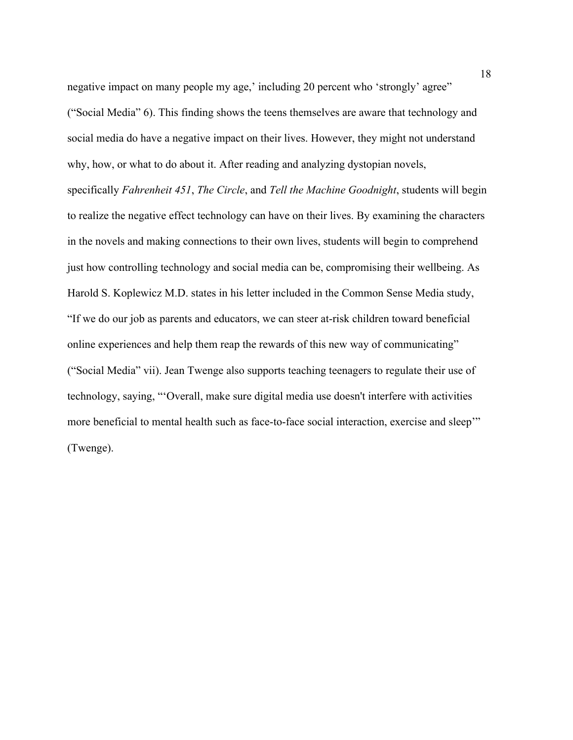negative impact on many people my age,' including 20 percent who 'strongly' agree" ("Social Media" 6). This finding shows the teens themselves are aware that technology and social media do have a negative impact on their lives. However, they might not understand why, how, or what to do about it. After reading and analyzing dystopian novels, specifically *Fahrenheit 451*, *The Circle*, and *Tell the Machine Goodnight*, students will begin to realize the negative effect technology can have on their lives. By examining the characters in the novels and making connections to their own lives, students will begin to comprehend just how controlling technology and social media can be, compromising their wellbeing. As Harold S. Koplewicz M.D. states in his letter included in the Common Sense Media study, "If we do our job as parents and educators, we can steer at-risk children toward beneficial online experiences and help them reap the rewards of this new way of communicating" ("Social Media" vii). Jean Twenge also supports teaching teenagers to regulate their use of technology, saying, "'Overall, make sure digital media use doesn't interfere with activities more beneficial to mental health such as face-to-face social interaction, exercise and sleep'" (Twenge).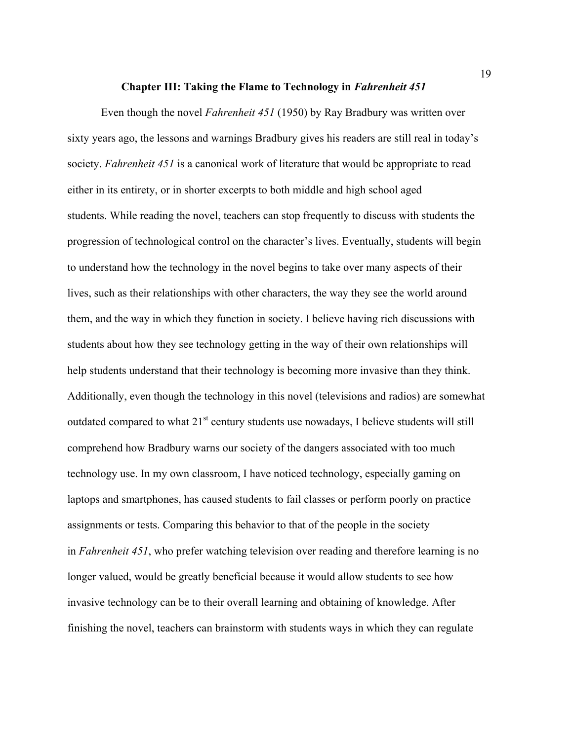#### **Chapter III: Taking the Flame to Technology in** *Fahrenheit 451*

Even though the novel *Fahrenheit 451* (1950) by Ray Bradbury was written over sixty years ago, the lessons and warnings Bradbury gives his readers are still real in today's society. *Fahrenheit 451* is a canonical work of literature that would be appropriate to read either in its entirety, or in shorter excerpts to both middle and high school aged students. While reading the novel, teachers can stop frequently to discuss with students the progression of technological control on the character's lives. Eventually, students will begin to understand how the technology in the novel begins to take over many aspects of their lives, such as their relationships with other characters, the way they see the world around them, and the way in which they function in society. I believe having rich discussions with students about how they see technology getting in the way of their own relationships will help students understand that their technology is becoming more invasive than they think. Additionally, even though the technology in this novel (televisions and radios) are somewhat outdated compared to what  $21<sup>st</sup>$  century students use nowadays, I believe students will still comprehend how Bradbury warns our society of the dangers associated with too much technology use. In my own classroom, I have noticed technology, especially gaming on laptops and smartphones, has caused students to fail classes or perform poorly on practice assignments or tests. Comparing this behavior to that of the people in the society in *Fahrenheit 451*, who prefer watching television over reading and therefore learning is no longer valued, would be greatly beneficial because it would allow students to see how invasive technology can be to their overall learning and obtaining of knowledge. After finishing the novel, teachers can brainstorm with students ways in which they can regulate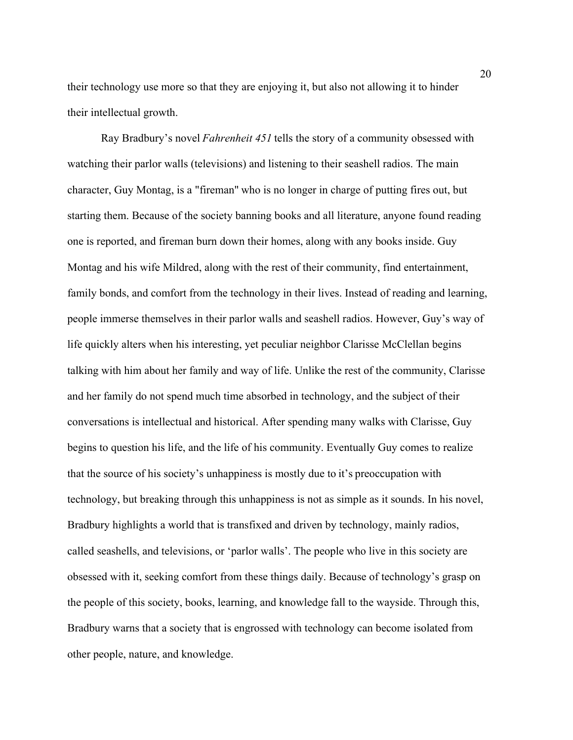their technology use more so that they are enjoying it, but also not allowing it to hinder their intellectual growth.

Ray Bradbury's novel *Fahrenheit 451* tells the story of a community obsessed with watching their parlor walls (televisions) and listening to their seashell radios. The main character, Guy Montag, is a "fireman" who is no longer in charge of putting fires out, but starting them. Because of the society banning books and all literature, anyone found reading one is reported, and fireman burn down their homes, along with any books inside. Guy Montag and his wife Mildred, along with the rest of their community, find entertainment, family bonds, and comfort from the technology in their lives. Instead of reading and learning, people immerse themselves in their parlor walls and seashell radios. However, Guy's way of life quickly alters when his interesting, yet peculiar neighbor Clarisse McClellan begins talking with him about her family and way of life. Unlike the rest of the community, Clarisse and her family do not spend much time absorbed in technology, and the subject of their conversations is intellectual and historical. After spending many walks with Clarisse, Guy begins to question his life, and the life of his community. Eventually Guy comes to realize that the source of his society's unhappiness is mostly due to it's preoccupation with technology, but breaking through this unhappiness is not as simple as it sounds. In his novel, Bradbury highlights a world that is transfixed and driven by technology, mainly radios, called seashells, and televisions, or 'parlor walls'. The people who live in this society are obsessed with it, seeking comfort from these things daily. Because of technology's grasp on the people of this society, books, learning, and knowledge fall to the wayside. Through this, Bradbury warns that a society that is engrossed with technology can become isolated from other people, nature, and knowledge.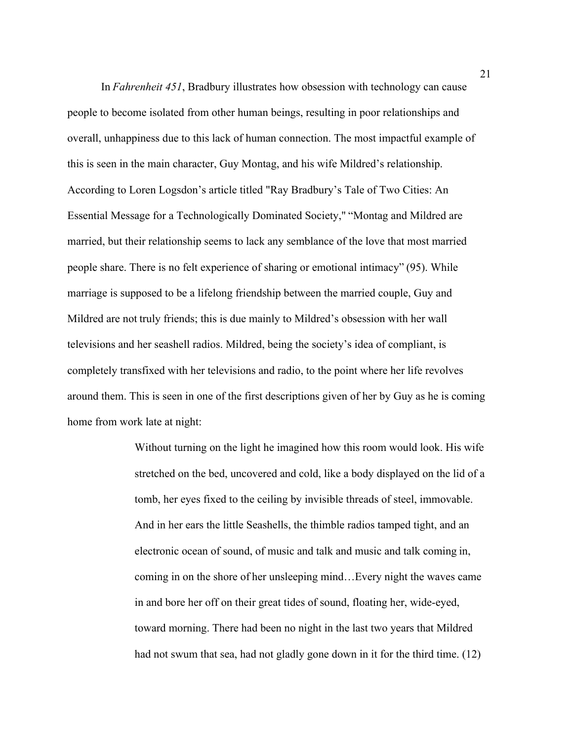In *Fahrenheit 451*, Bradbury illustrates how obsession with technology can cause people to become isolated from other human beings, resulting in poor relationships and overall, unhappiness due to this lack of human connection. The most impactful example of this is seen in the main character, Guy Montag, and his wife Mildred's relationship. According to Loren Logsdon's article titled "Ray Bradbury's Tale of Two Cities: An Essential Message for a Technologically Dominated Society," "Montag and Mildred are married, but their relationship seems to lack any semblance of the love that most married people share. There is no felt experience of sharing or emotional intimacy" (95). While marriage is supposed to be a lifelong friendship between the married couple, Guy and Mildred are not truly friends; this is due mainly to Mildred's obsession with her wall televisions and her seashell radios. Mildred, being the society's idea of compliant, is completely transfixed with her televisions and radio, to the point where her life revolves around them. This is seen in one of the first descriptions given of her by Guy as he is coming home from work late at night:

> Without turning on the light he imagined how this room would look. His wife stretched on the bed, uncovered and cold, like a body displayed on the lid of a tomb, her eyes fixed to the ceiling by invisible threads of steel, immovable. And in her ears the little Seashells, the thimble radios tamped tight, and an electronic ocean of sound, of music and talk and music and talk coming in, coming in on the shore of her unsleeping mind…Every night the waves came in and bore her off on their great tides of sound, floating her, wide-eyed, toward morning. There had been no night in the last two years that Mildred had not swum that sea, had not gladly gone down in it for the third time. (12)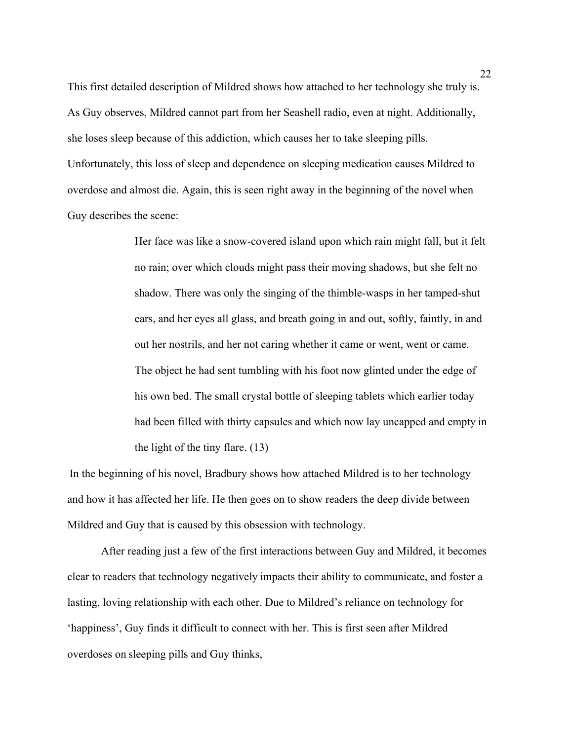This first detailed description of Mildred shows how attached to her technology she truly is. As Guy observes, Mildred cannot part from her Seashell radio, even at night. Additionally, she loses sleep because of this addiction, which causes her to take sleeping pills. Unfortunately, this loss of sleep and dependence on sleeping medication causes Mildred to overdose and almost die. Again, this is seen right away in the beginning of the novel when Guy describes the scene:

> Her face was like a snow-covered island upon which rain might fall, but it felt no rain; over which clouds might pass their moving shadows, but she felt no shadow. There was only the singing of the thimble-wasps in her tamped-shut ears, and her eyes all glass, and breath going in and out, softly, faintly, in and out her nostrils, and her not caring whether it came or went, went or came. The object he had sent tumbling with his foot now glinted under the edge of his own bed. The small crystal bottle of sleeping tablets which earlier today had been filled with thirty capsules and which now lay uncapped and empty in the light of the tiny flare. (13)

In the beginning of his novel, Bradbury shows how attached Mildred is to her technology and how it has affected her life. He then goes on to show readers the deep divide between Mildred and Guy that is caused by this obsession with technology.  

After reading just a few of the first interactions between Guy and Mildred, it becomes clear to readers that technology negatively impacts their ability to communicate, and foster a lasting, loving relationship with each other. Due to Mildred's reliance on technology for 'happiness', Guy finds it difficult to connect with her. This is first seen after Mildred overdoses on sleeping pills and Guy thinks,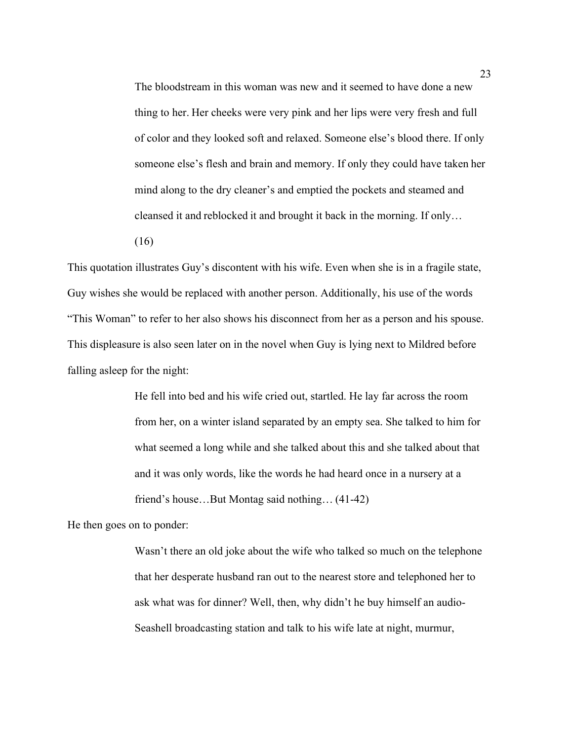The bloodstream in this woman was new and it seemed to have done a new thing to her. Her cheeks were very pink and her lips were very fresh and full of color and they looked soft and relaxed. Someone else's blood there. If only someone else's flesh and brain and memory. If only they could have taken her mind along to the dry cleaner's and emptied the pockets and steamed and cleansed it and reblocked it and brought it back in the morning. If only…

(16)  

This quotation illustrates Guy's discontent with his wife. Even when she is in a fragile state, Guy wishes she would be replaced with another person. Additionally, his use of the words "This Woman" to refer to her also shows his disconnect from her as a person and his spouse. This displeasure is also seen later on in the novel when Guy is lying next to Mildred before falling asleep for the night:  

> He fell into bed and his wife cried out, startled. He lay far across the room from her, on a winter island separated by an empty sea. She talked to him for what seemed a long while and she talked about this and she talked about that and it was only words, like the words he had heard once in a nursery at a friend's house…But Montag said nothing… (41-42)

He then goes on to ponder:

Wasn't there an old joke about the wife who talked so much on the telephone that her desperate husband ran out to the nearest store and telephoned her to ask what was for dinner? Well, then, why didn't he buy himself an audio-Seashell broadcasting station and talk to his wife late at night, murmur,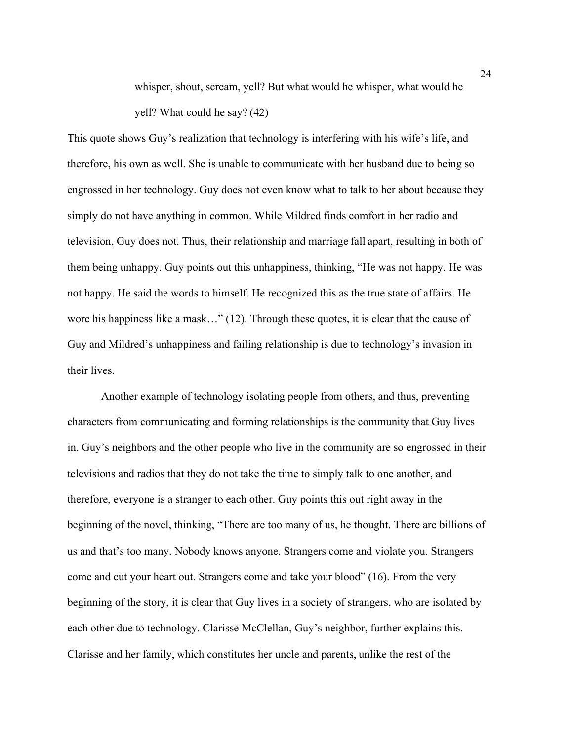whisper, shout, scream, yell? But what would he whisper, what would he yell? What could he say? (42)

This quote shows Guy's realization that technology is interfering with his wife's life, and therefore, his own as well. She is unable to communicate with her husband due to being so engrossed in her technology. Guy does not even know what to talk to her about because they simply do not have anything in common. While Mildred finds comfort in her radio and television, Guy does not. Thus, their relationship and marriage fall apart, resulting in both of them being unhappy. Guy points out this unhappiness, thinking, "He was not happy. He was not happy. He said the words to himself. He recognized this as the true state of affairs. He wore his happiness like a mask…" (12). Through these quotes, it is clear that the cause of Guy and Mildred's unhappiness and failing relationship is due to technology's invasion in their lives.

Another example of technology isolating people from others, and thus, preventing characters from communicating and forming relationships is the community that Guy lives in. Guy's neighbors and the other people who live in the community are so engrossed in their televisions and radios that they do not take the time to simply talk to one another, and therefore, everyone is a stranger to each other. Guy points this out right away in the beginning of the novel, thinking, "There are too many of us, he thought. There are billions of us and that's too many. Nobody knows anyone. Strangers come and violate you. Strangers come and cut your heart out. Strangers come and take your blood" (16). From the very beginning of the story, it is clear that Guy lives in a society of strangers, who are isolated by each other due to technology. Clarisse McClellan, Guy's neighbor, further explains this. Clarisse and her family, which constitutes her uncle and parents, unlike the rest of the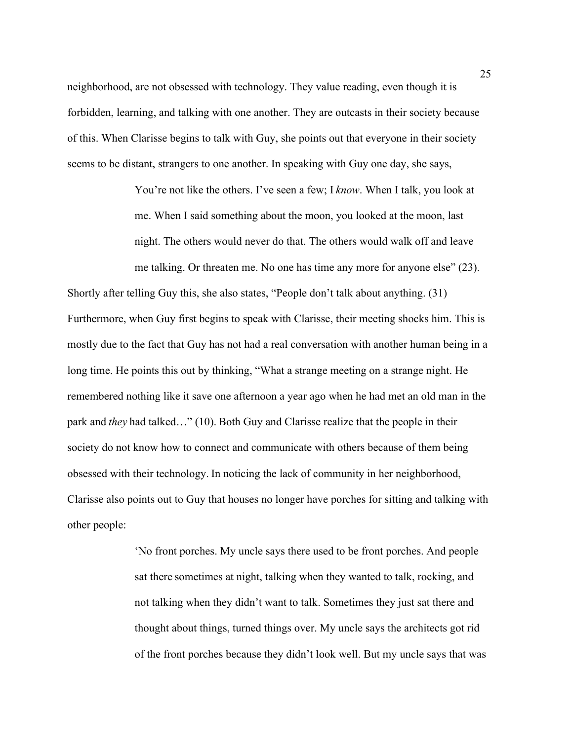neighborhood, are not obsessed with technology. They value reading, even though it is forbidden, learning, and talking with one another. They are outcasts in their society because of this. When Clarisse begins to talk with Guy, she points out that everyone in their society seems to be distant, strangers to one another. In speaking with Guy one day, she says,  

> You're not like the others. I've seen a few; I *know*. When I talk, you look at me. When I said something about the moon, you looked at the moon, last night. The others would never do that. The others would walk off and leave me talking. Or threaten me. No one has time any more for anyone else" (23).

Shortly after telling Guy this, she also states, "People don't talk about anything. (31) Furthermore, when Guy first begins to speak with Clarisse, their meeting shocks him. This is mostly due to the fact that Guy has not had a real conversation with another human being in a long time. He points this out by thinking, "What a strange meeting on a strange night. He remembered nothing like it save one afternoon a year ago when he had met an old man in the park and *they* had talked…" (10). Both Guy and Clarisse realize that the people in their society do not know how to connect and communicate with others because of them being obsessed with their technology. In noticing the lack of community in her neighborhood, Clarisse also points out to Guy that houses no longer have porches for sitting and talking with other people:  

> 'No front porches. My uncle says there used to be front porches. And people sat there sometimes at night, talking when they wanted to talk, rocking, and not talking when they didn't want to talk. Sometimes they just sat there and thought about things, turned things over. My uncle says the architects got rid of the front porches because they didn't look well. But my uncle says that was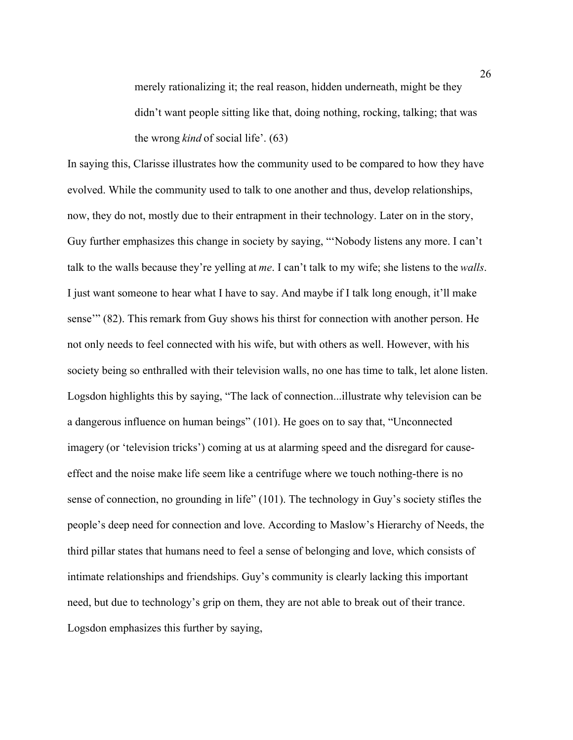merely rationalizing it; the real reason, hidden underneath, might be they didn't want people sitting like that, doing nothing, rocking, talking; that was the wrong *kind* of social life'. (63)

In saying this, Clarisse illustrates how the community used to be compared to how they have evolved. While the community used to talk to one another and thus, develop relationships, now, they do not, mostly due to their entrapment in their technology. Later on in the story, Guy further emphasizes this change in society by saying, "'Nobody listens any more. I can't talk to the walls because they're yelling at *me*. I can't talk to my wife; she listens to the *walls*. I just want someone to hear what I have to say. And maybe if I talk long enough, it'll make sense'" (82). This remark from Guy shows his thirst for connection with another person. He not only needs to feel connected with his wife, but with others as well. However, with his society being so enthralled with their television walls, no one has time to talk, let alone listen. Logsdon highlights this by saying, "The lack of connection...illustrate why television can be a dangerous influence on human beings" (101). He goes on to say that, "Unconnected imagery (or 'television tricks') coming at us at alarming speed and the disregard for causeeffect and the noise make life seem like a centrifuge where we touch nothing-there is no sense of connection, no grounding in life" (101). The technology in Guy's society stifles the people's deep need for connection and love. According to Maslow's Hierarchy of Needs, the third pillar states that humans need to feel a sense of belonging and love, which consists of intimate relationships and friendships. Guy's community is clearly lacking this important need, but due to technology's grip on them, they are not able to break out of their trance. Logsdon emphasizes this further by saying,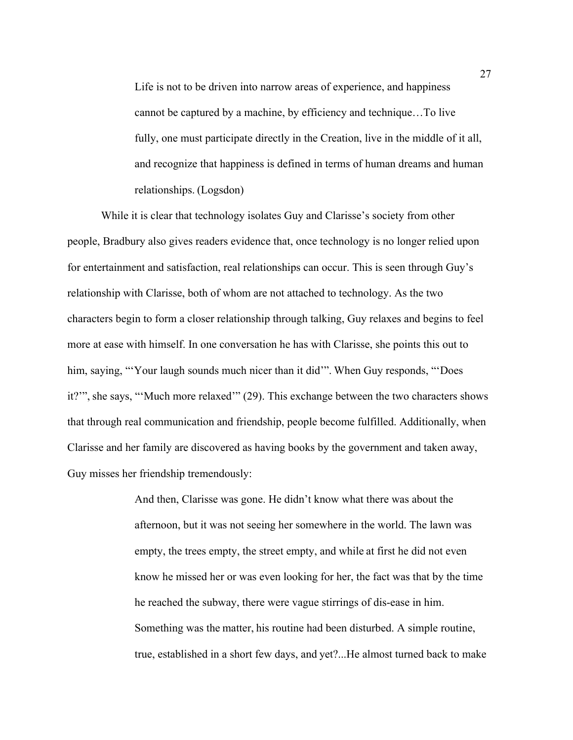Life is not to be driven into narrow areas of experience, and happiness cannot be captured by a machine, by efficiency and technique…To live fully, one must participate directly in the Creation, live in the middle of it all, and recognize that happiness is defined in terms of human dreams and human relationships. (Logsdon)

While it is clear that technology isolates Guy and Clarisse's society from other people, Bradbury also gives readers evidence that, once technology is no longer relied upon for entertainment and satisfaction, real relationships can occur. This is seen through Guy's relationship with Clarisse, both of whom are not attached to technology. As the two characters begin to form a closer relationship through talking, Guy relaxes and begins to feel more at ease with himself. In one conversation he has with Clarisse, she points this out to him, saying, "Your laugh sounds much nicer than it did". When Guy responds, "Does" it?'", she says, "'Much more relaxed'" (29). This exchange between the two characters shows that through real communication and friendship, people become fulfilled. Additionally, when Clarisse and her family are discovered as having books by the government and taken away, Guy misses her friendship tremendously:

> And then, Clarisse was gone. He didn't know what there was about the afternoon, but it was not seeing her somewhere in the world. The lawn was empty, the trees empty, the street empty, and while at first he did not even know he missed her or was even looking for her, the fact was that by the time he reached the subway, there were vague stirrings of dis-ease in him. Something was the matter, his routine had been disturbed. A simple routine, true, established in a short few days, and yet?...He almost turned back to make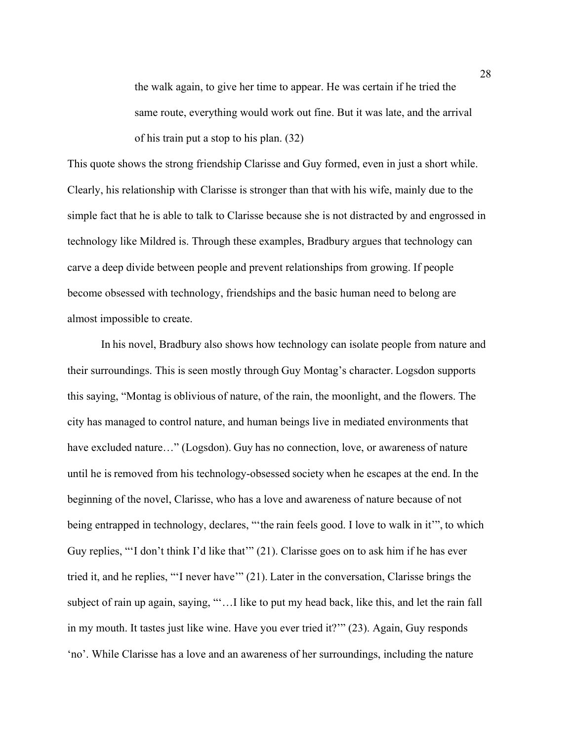the walk again, to give her time to appear. He was certain if he tried the same route, everything would work out fine. But it was late, and the arrival of his train put a stop to his plan. (32)  

This quote shows the strong friendship Clarisse and Guy formed, even in just a short while. Clearly, his relationship with Clarisse is stronger than that with his wife, mainly due to the simple fact that he is able to talk to Clarisse because she is not distracted by and engrossed in technology like Mildred is. Through these examples, Bradbury argues that technology can carve a deep divide between people and prevent relationships from growing. If people become obsessed with technology, friendships and the basic human need to belong are almost impossible to create.

In his novel, Bradbury also shows how technology can isolate people from nature and their surroundings. This is seen mostly through Guy Montag's character. Logsdon supports this saying, "Montag is oblivious of nature, of the rain, the moonlight, and the flowers. The city has managed to control nature, and human beings live in mediated environments that have excluded nature..." (Logsdon). Guy has no connection, love, or awareness of nature until he is removed from his technology-obsessed society when he escapes at the end. In the beginning of the novel, Clarisse, who has a love and awareness of nature because of not being entrapped in technology, declares, "'the rain feels good. I love to walk in it'", to which Guy replies, "'I don't think I'd like that'" (21). Clarisse goes on to ask him if he has ever tried it, and he replies, "'I never have'" (21). Later in the conversation, Clarisse brings the subject of rain up again, saying, "'…I like to put my head back, like this, and let the rain fall in my mouth. It tastes just like wine. Have you ever tried it?'" (23). Again, Guy responds 'no'. While Clarisse has a love and an awareness of her surroundings, including the nature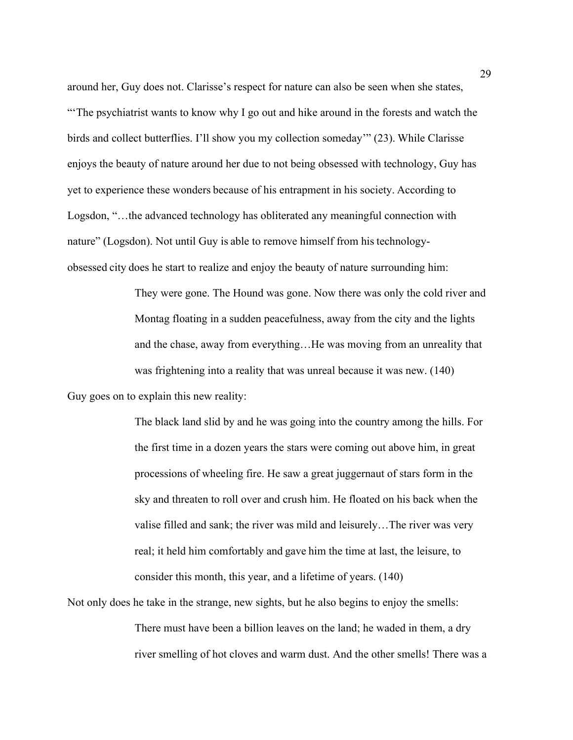around her, Guy does not. Clarisse's respect for nature can also be seen when she states, "'The psychiatrist wants to know why I go out and hike around in the forests and watch the birds and collect butterflies. I'll show you my collection someday'" (23). While Clarisse enjoys the beauty of nature around her due to not being obsessed with technology, Guy has yet to experience these wonders because of his entrapment in his society. According to Logsdon, "…the advanced technology has obliterated any meaningful connection with nature" (Logsdon). Not until Guy is able to remove himself from his technologyobsessed city does he start to realize and enjoy the beauty of nature surrounding him:  

> They were gone. The Hound was gone. Now there was only the cold river and Montag floating in a sudden peacefulness, away from the city and the lights and the chase, away from everything…He was moving from an unreality that was frightening into a reality that was unreal because it was new. (140)

Guy goes on to explain this new reality:

The black land slid by and he was going into the country among the hills. For the first time in a dozen years the stars were coming out above him, in great processions of wheeling fire. He saw a great juggernaut of stars form in the sky and threaten to roll over and crush him. He floated on his back when the valise filled and sank; the river was mild and leisurely…The river was very real; it held him comfortably and gave him the time at last, the leisure, to consider this month, this year, and a lifetime of years. (140)  

Not only does he take in the strange, new sights, but he also begins to enjoy the smells: There must have been a billion leaves on the land; he waded in them, a dry river smelling of hot cloves and warm dust. And the other smells! There was a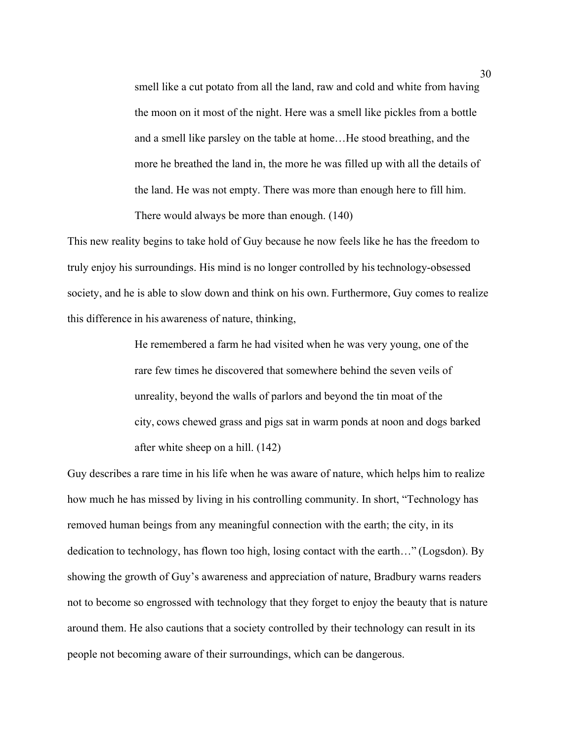smell like a cut potato from all the land, raw and cold and white from having the moon on it most of the night. Here was a smell like pickles from a bottle and a smell like parsley on the table at home…He stood breathing, and the more he breathed the land in, the more he was filled up with all the details of the land. He was not empty. There was more than enough here to fill him. There would always be more than enough. (140)

This new reality begins to take hold of Guy because he now feels like he has the freedom to truly enjoy his surroundings. His mind is no longer controlled by his technology-obsessed society, and he is able to slow down and think on his own. Furthermore, Guy comes to realize this difference in his awareness of nature, thinking,  

> He remembered a farm he had visited when he was very young, one of the rare few times he discovered that somewhere behind the seven veils of unreality, beyond the walls of parlors and beyond the tin moat of the city, cows chewed grass and pigs sat in warm ponds at noon and dogs barked after white sheep on a hill. (142)

Guy describes a rare time in his life when he was aware of nature, which helps him to realize how much he has missed by living in his controlling community. In short, "Technology has removed human beings from any meaningful connection with the earth; the city, in its dedication to technology, has flown too high, losing contact with the earth…" (Logsdon). By showing the growth of Guy's awareness and appreciation of nature, Bradbury warns readers not to become so engrossed with technology that they forget to enjoy the beauty that is nature around them. He also cautions that a society controlled by their technology can result in its people not becoming aware of their surroundings, which can be dangerous.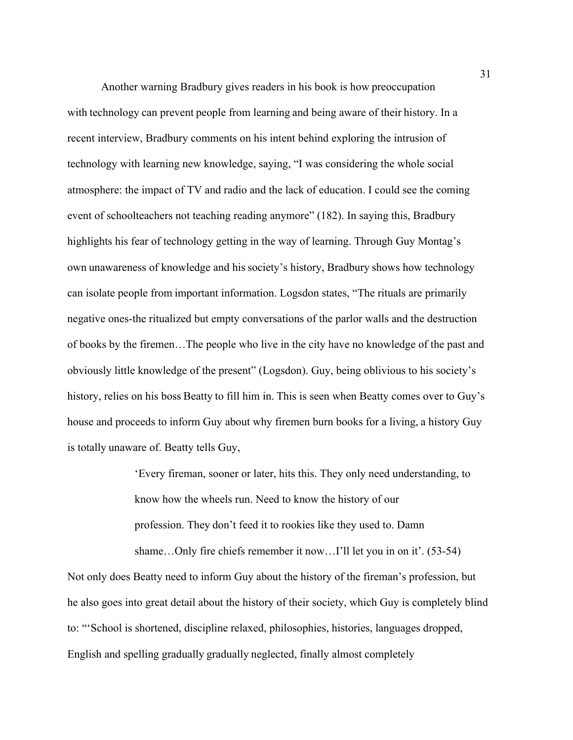Another warning Bradbury gives readers in his book is how preoccupation with technology can prevent people from learning and being aware of their history. In a recent interview, Bradbury comments on his intent behind exploring the intrusion of technology with learning new knowledge, saying, "I was considering the whole social atmosphere: the impact of TV and radio and the lack of education. I could see the coming event of schoolteachers not teaching reading anymore" (182). In saying this, Bradbury highlights his fear of technology getting in the way of learning. Through Guy Montag's own unawareness of knowledge and his society's history, Bradbury shows how technology can isolate people from important information. Logsdon states, "The rituals are primarily negative ones-the ritualized but empty conversations of the parlor walls and the destruction of books by the firemen…The people who live in the city have no knowledge of the past and obviously little knowledge of the present" (Logsdon). Guy, being oblivious to his society's history, relies on his boss Beatty to fill him in. This is seen when Beatty comes over to Guy's house and proceeds to inform Guy about why firemen burn books for a living, a history Guy is totally unaware of. Beatty tells Guy,

> 'Every fireman, sooner or later, hits this. They only need understanding, to know how the wheels run. Need to know the history of our profession. They don't feed it to rookies like they used to. Damn shame...Only fire chiefs remember it now...I'll let you in on it'. (53-54)

Not only does Beatty need to inform Guy about the history of the fireman's profession, but he also goes into great detail about the history of their society, which Guy is completely blind to: "'School is shortened, discipline relaxed, philosophies, histories, languages dropped, English and spelling gradually gradually neglected, finally almost completely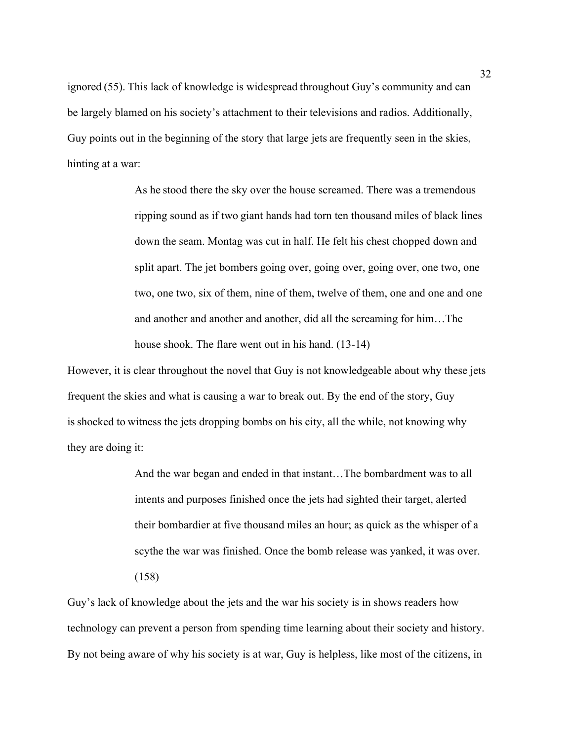ignored (55). This lack of knowledge is widespread throughout Guy's community and can be largely blamed on his society's attachment to their televisions and radios. Additionally, Guy points out in the beginning of the story that large jets are frequently seen in the skies, hinting at a war:

> As he stood there the sky over the house screamed. There was a tremendous ripping sound as if two giant hands had torn ten thousand miles of black lines down the seam. Montag was cut in half. He felt his chest chopped down and split apart. The jet bombers going over, going over, going over, one two, one two, one two, six of them, nine of them, twelve of them, one and one and one and another and another and another, did all the screaming for him…The house shook. The flare went out in his hand. (13-14)

However, it is clear throughout the novel that Guy is not knowledgeable about why these jets frequent the skies and what is causing a war to break out. By the end of the story, Guy is shocked to witness the jets dropping bombs on his city, all the while, not knowing why they are doing it:

> And the war began and ended in that instant…The bombardment was to all intents and purposes finished once the jets had sighted their target, alerted their bombardier at five thousand miles an hour; as quick as the whisper of a scythe the war was finished. Once the bomb release was yanked, it was over. (158)

Guy's lack of knowledge about the jets and the war his society is in shows readers how technology can prevent a person from spending time learning about their society and history. By not being aware of why his society is at war, Guy is helpless, like most of the citizens, in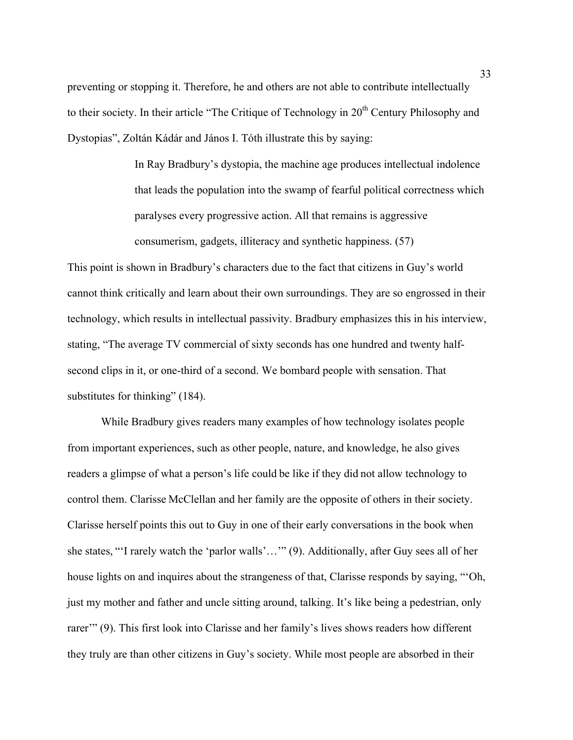preventing or stopping it. Therefore, he and others are not able to contribute intellectually to their society. In their article "The Critique of Technology in 20<sup>th</sup> Century Philosophy and Dystopias", Zoltán Kádár and János I. Tóth illustrate this by saying:

> In Ray Bradbury's dystopia, the machine age produces intellectual indolence that leads the population into the swamp of fearful political correctness which paralyses every progressive action. All that remains is aggressive consumerism, gadgets, illiteracy and synthetic happiness. (57)

This point is shown in Bradbury's characters due to the fact that citizens in Guy's world cannot think critically and learn about their own surroundings. They are so engrossed in their technology, which results in intellectual passivity. Bradbury emphasizes this in his interview, stating, "The average TV commercial of sixty seconds has one hundred and twenty halfsecond clips in it, or one-third of a second. We bombard people with sensation. That substitutes for thinking" (184).

While Bradbury gives readers many examples of how technology isolates people from important experiences, such as other people, nature, and knowledge, he also gives readers a glimpse of what a person's life could be like if they did not allow technology to control them. Clarisse McClellan and her family are the opposite of others in their society. Clarisse herself points this out to Guy in one of their early conversations in the book when she states, "'I rarely watch the 'parlor walls'…'" (9). Additionally, after Guy sees all of her house lights on and inquires about the strangeness of that, Clarisse responds by saying, "'Oh, just my mother and father and uncle sitting around, talking. It's like being a pedestrian, only rarer'" (9). This first look into Clarisse and her family's lives shows readers how different they truly are than other citizens in Guy's society. While most people are absorbed in their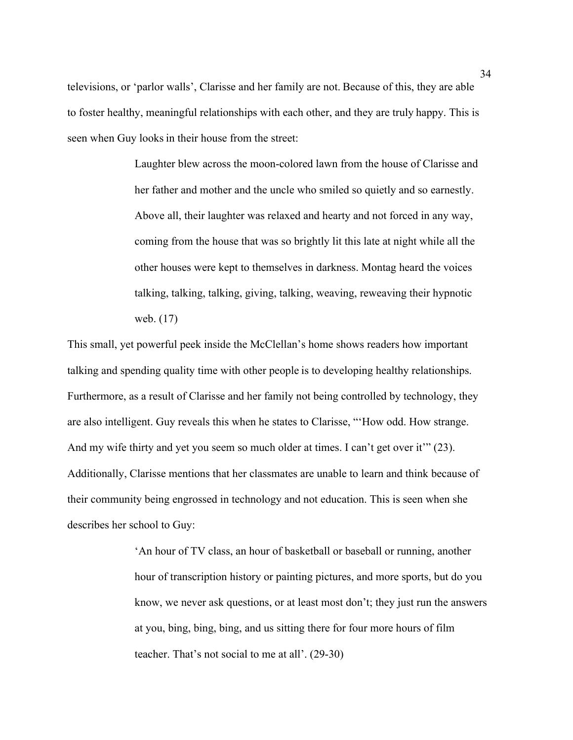televisions, or 'parlor walls', Clarisse and her family are not. Because of this, they are able to foster healthy, meaningful relationships with each other, and they are truly happy. This is seen when Guy looks in their house from the street:

> Laughter blew across the moon-colored lawn from the house of Clarisse and her father and mother and the uncle who smiled so quietly and so earnestly. Above all, their laughter was relaxed and hearty and not forced in any way, coming from the house that was so brightly lit this late at night while all the other houses were kept to themselves in darkness. Montag heard the voices talking, talking, talking, giving, talking, weaving, reweaving their hypnotic web. (17)

This small, yet powerful peek inside the McClellan's home shows readers how important talking and spending quality time with other people is to developing healthy relationships. Furthermore, as a result of Clarisse and her family not being controlled by technology, they are also intelligent. Guy reveals this when he states to Clarisse, "'How odd. How strange. And my wife thirty and yet you seem so much older at times. I can't get over it'" (23). Additionally, Clarisse mentions that her classmates are unable to learn and think because of their community being engrossed in technology and not education. This is seen when she describes her school to Guy:

> 'An hour of TV class, an hour of basketball or baseball or running, another hour of transcription history or painting pictures, and more sports, but do you know, we never ask questions, or at least most don't; they just run the answers at you, bing, bing, bing, and us sitting there for four more hours of film teacher. That's not social to me at all'. (29-30)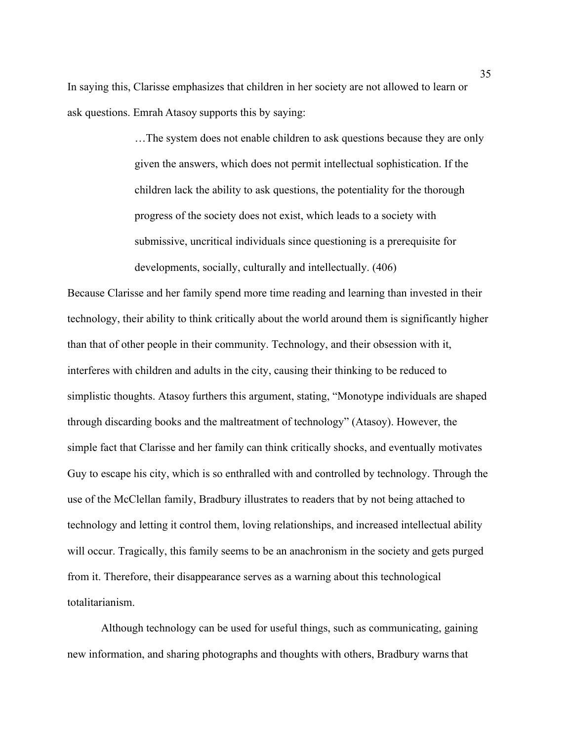In saying this, Clarisse emphasizes that children in her society are not allowed to learn or ask questions. Emrah Atasoy supports this by saying:

> …The system does not enable children to ask questions because they are only given the answers, which does not permit intellectual sophistication. If the children lack the ability to ask questions, the potentiality for the thorough progress of the society does not exist, which leads to a society with submissive, uncritical individuals since questioning is a prerequisite for developments, socially, culturally and intellectually. (406)

Because Clarisse and her family spend more time reading and learning than invested in their technology, their ability to think critically about the world around them is significantly higher than that of other people in their community. Technology, and their obsession with it, interferes with children and adults in the city, causing their thinking to be reduced to simplistic thoughts. Atasoy furthers this argument, stating, "Monotype individuals are shaped through discarding books and the maltreatment of technology" (Atasoy). However, the simple fact that Clarisse and her family can think critically shocks, and eventually motivates Guy to escape his city, which is so enthralled with and controlled by technology. Through the use of the McClellan family, Bradbury illustrates to readers that by not being attached to technology and letting it control them, loving relationships, and increased intellectual ability will occur. Tragically, this family seems to be an anachronism in the society and gets purged from it. Therefore, their disappearance serves as a warning about this technological totalitarianism.

Although technology can be used for useful things, such as communicating, gaining new information, and sharing photographs and thoughts with others, Bradbury warns that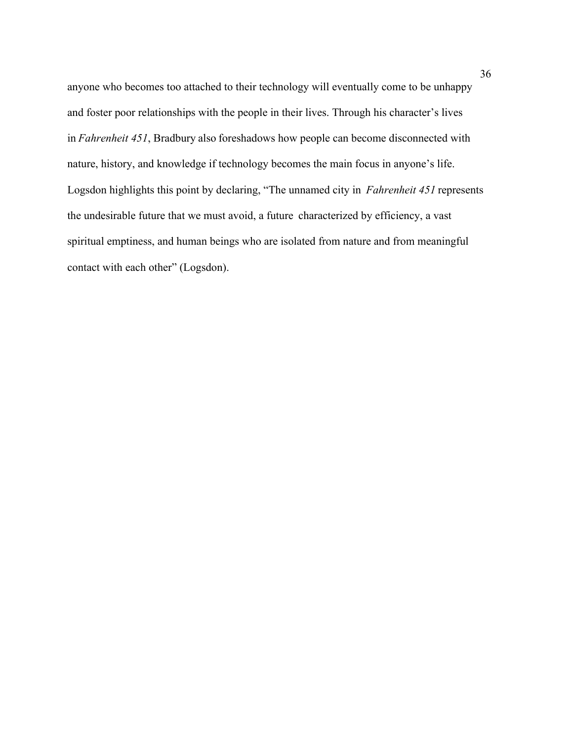anyone who becomes too attached to their technology will eventually come to be unhappy and foster poor relationships with the people in their lives. Through his character's lives in *Fahrenheit 451*, Bradbury also foreshadows how people can become disconnected with nature, history, and knowledge if technology becomes the main focus in anyone's life. Logsdon highlights this point by declaring, "The unnamed city in *Fahrenheit 451* represents the undesirable future that we must avoid, a future characterized by efficiency, a vast spiritual emptiness, and human beings who are isolated from nature and from meaningful contact with each other" (Logsdon).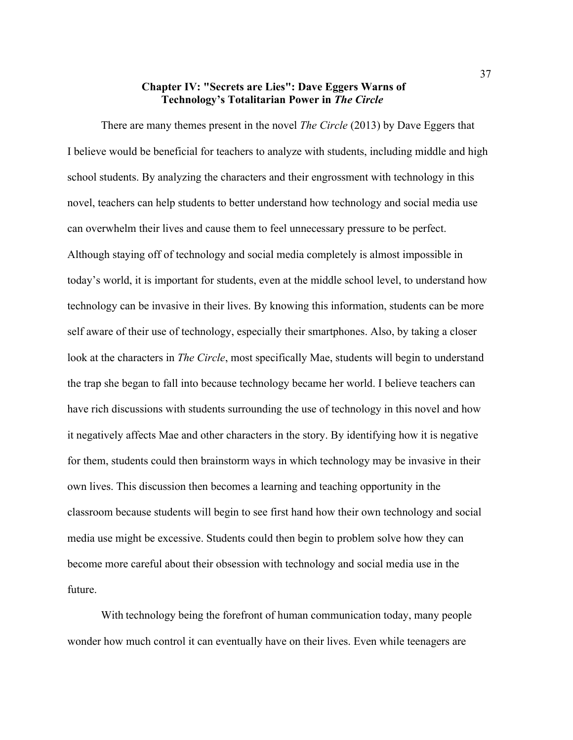## **Chapter IV: "Secrets are Lies": Dave Eggers Warns of Technology's Totalitarian Power in** *The Circle*

There are many themes present in the novel *The Circle* (2013) by Dave Eggers that I believe would be beneficial for teachers to analyze with students, including middle and high school students. By analyzing the characters and their engrossment with technology in this novel, teachers can help students to better understand how technology and social media use can overwhelm their lives and cause them to feel unnecessary pressure to be perfect. Although staying off of technology and social media completely is almost impossible in today's world, it is important for students, even at the middle school level, to understand how technology can be invasive in their lives. By knowing this information, students can be more self aware of their use of technology, especially their smartphones. Also, by taking a closer look at the characters in *The Circle*, most specifically Mae, students will begin to understand the trap she began to fall into because technology became her world. I believe teachers can have rich discussions with students surrounding the use of technology in this novel and how it negatively affects Mae and other characters in the story. By identifying how it is negative for them, students could then brainstorm ways in which technology may be invasive in their own lives. This discussion then becomes a learning and teaching opportunity in the classroom because students will begin to see first hand how their own technology and social media use might be excessive. Students could then begin to problem solve how they can become more careful about their obsession with technology and social media use in the future.

With technology being the forefront of human communication today, many people wonder how much control it can eventually have on their lives. Even while teenagers are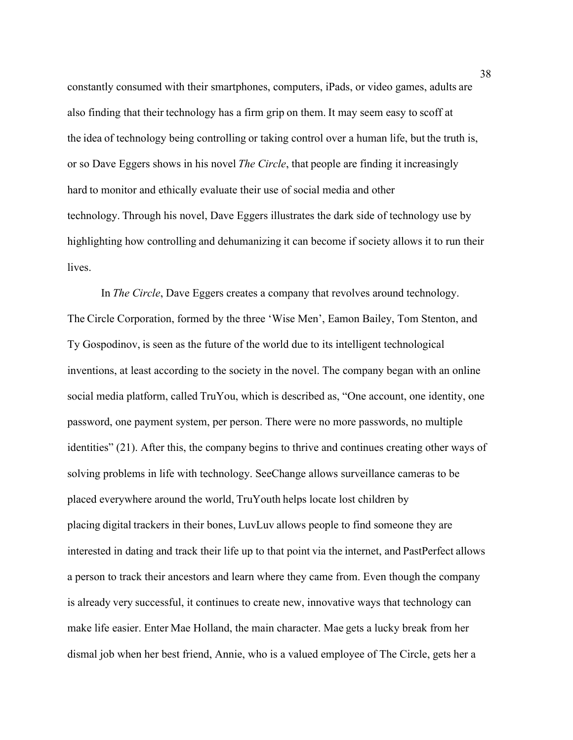constantly consumed with their smartphones, computers, iPads, or video games, adults are also finding that their technology has a firm grip on them. It may seem easy to scoff at the idea of technology being controlling or taking control over a human life, but the truth is, or so Dave Eggers shows in his novel *The Circle*, that people are finding it increasingly hard to monitor and ethically evaluate their use of social media and other technology. Through his novel, Dave Eggers illustrates the dark side of technology use by highlighting how controlling and dehumanizing it can become if society allows it to run their lives.

In *The Circle*, Dave Eggers creates a company that revolves around technology. The Circle Corporation, formed by the three 'Wise Men', Eamon Bailey, Tom Stenton, and Ty Gospodinov, is seen as the future of the world due to its intelligent technological inventions, at least according to the society in the novel. The company began with an online social media platform, called TruYou, which is described as, "One account, one identity, one password, one payment system, per person. There were no more passwords, no multiple identities" (21). After this, the company begins to thrive and continues creating other ways of solving problems in life with technology. SeeChange allows surveillance cameras to be placed everywhere around the world, TruYouth helps locate lost children by placing digital trackers in their bones, LuvLuv allows people to find someone they are interested in dating and track their life up to that point via the internet, and PastPerfect allows a person to track their ancestors and learn where they came from. Even though the company is already very successful, it continues to create new, innovative ways that technology can make life easier. Enter Mae Holland, the main character. Mae gets a lucky break from her dismal job when her best friend, Annie, who is a valued employee of The Circle, gets her a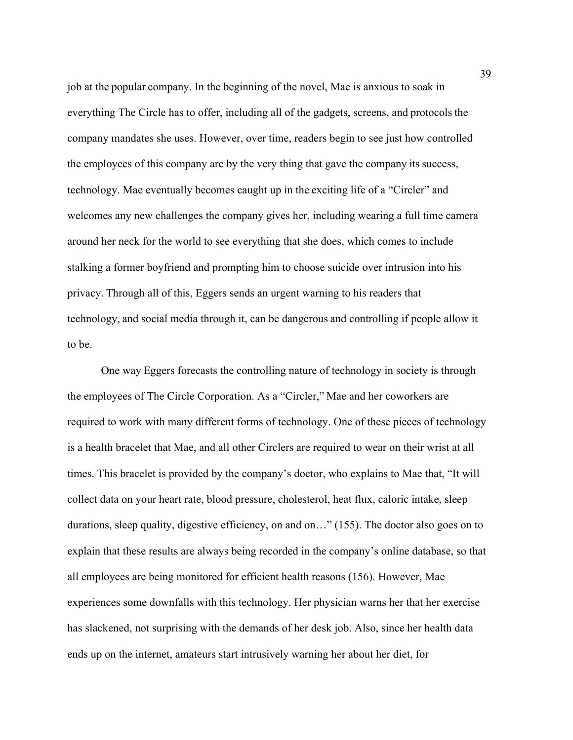job at the popular company. In the beginning of the novel, Mae is anxious to soak in everything The Circle has to offer, including all of the gadgets, screens, and protocols the company mandates she uses. However, over time, readers begin to see just how controlled the employees of this company are by the very thing that gave the company its success, technology. Mae eventually becomes caught up in the exciting life of a "Circler" and welcomes any new challenges the company gives her, including wearing a full time camera around her neck for the world to see everything that she does, which comes to include stalking a former boyfriend and prompting him to choose suicide over intrusion into his privacy. Through all of this, Eggers sends an urgent warning to his readers that technology, and social media through it, can be dangerous and controlling if people allow it to be.

One way Eggers forecasts the controlling nature of technology in society is through the employees of The Circle Corporation. As a "Circler," Mae and her coworkers are required to work with many different forms of technology. One of these pieces of technology is a health bracelet that Mae, and all other Circlers are required to wear on their wrist at all times. This bracelet is provided by the company's doctor, who explains to Mae that, "It will collect data on your heart rate, blood pressure, cholesterol, heat flux, caloric intake, sleep durations, sleep quality, digestive efficiency, on and on…" (155). The doctor also goes on to explain that these results are always being recorded in the company's online database, so that all employees are being monitored for efficient health reasons (156). However, Mae experiences some downfalls with this technology. Her physician warns her that her exercise has slackened, not surprising with the demands of her desk job. Also, since her health data ends up on the internet, amateurs start intrusively warning her about her diet, for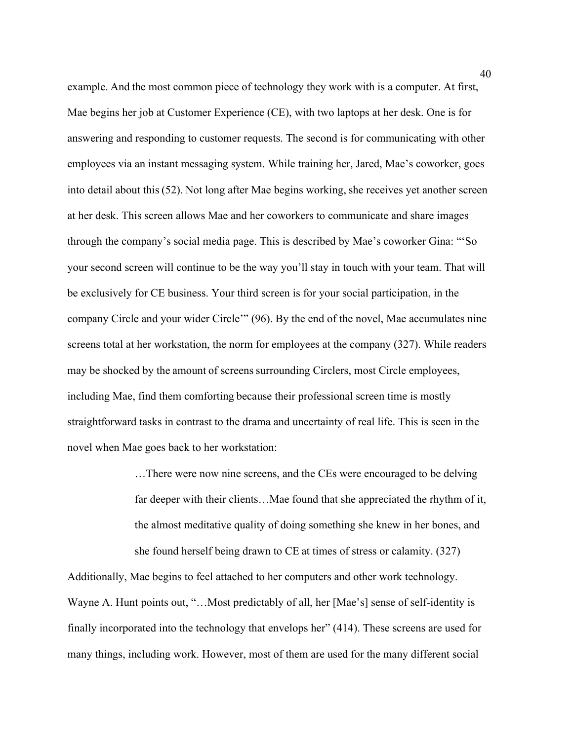example. And the most common piece of technology they work with is a computer. At first, Mae begins her job at Customer Experience (CE), with two laptops at her desk. One is for answering and responding to customer requests. The second is for communicating with other employees via an instant messaging system. While training her, Jared, Mae's coworker, goes into detail about this (52). Not long after Mae begins working, she receives yet another screen at her desk. This screen allows Mae and her coworkers to communicate and share images through the company's social media page. This is described by Mae's coworker Gina: "'So your second screen will continue to be the way you'll stay in touch with your team. That will be exclusively for CE business. Your third screen is for your social participation, in the company Circle and your wider Circle'" (96). By the end of the novel, Mae accumulates nine screens total at her workstation, the norm for employees at the company (327). While readers may be shocked by the amount of screens surrounding Circlers, most Circle employees, including Mae, find them comforting because their professional screen time is mostly straightforward tasks in contrast to the drama and uncertainty of real life. This is seen in the novel when Mae goes back to her workstation:

> …There were now nine screens, and the CEs were encouraged to be delving far deeper with their clients…Mae found that she appreciated the rhythm of it, the almost meditative quality of doing something she knew in her bones, and she found herself being drawn to CE at times of stress or calamity. (327)

Additionally, Mae begins to feel attached to her computers and other work technology. Wayne A. Hunt points out, "...Most predictably of all, her [Mae's] sense of self-identity is finally incorporated into the technology that envelops her" (414). These screens are used for many things, including work. However, most of them are used for the many different social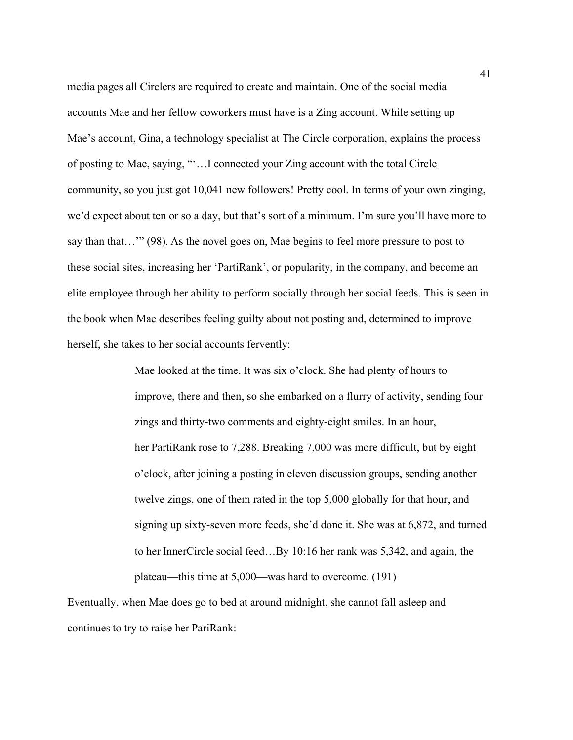media pages all Circlers are required to create and maintain. One of the social media accounts Mae and her fellow coworkers must have is a Zing account. While setting up Mae's account, Gina, a technology specialist at The Circle corporation, explains the process of posting to Mae, saying, "'…I connected your Zing account with the total Circle community, so you just got 10,041 new followers! Pretty cool. In terms of your own zinging, we'd expect about ten or so a day, but that's sort of a minimum. I'm sure you'll have more to say than that…'" (98). As the novel goes on, Mae begins to feel more pressure to post to these social sites, increasing her 'PartiRank', or popularity, in the company, and become an elite employee through her ability to perform socially through her social feeds. This is seen in the book when Mae describes feeling guilty about not posting and, determined to improve herself, she takes to her social accounts fervently:

> Mae looked at the time. It was six o'clock. She had plenty of hours to improve, there and then, so she embarked on a flurry of activity, sending four zings and thirty-two comments and eighty-eight smiles. In an hour, her PartiRank rose to 7,288. Breaking 7,000 was more difficult, but by eight o'clock, after joining a posting in eleven discussion groups, sending another twelve zings, one of them rated in the top 5,000 globally for that hour, and signing up sixty-seven more feeds, she'd done it. She was at 6,872, and turned to her InnerCircle social feed…By 10:16 her rank was 5,342, and again, the plateau—this time at 5,000—was hard to overcome. (191)

Eventually, when Mae does go to bed at around midnight, she cannot fall asleep and continues to try to raise her PariRank: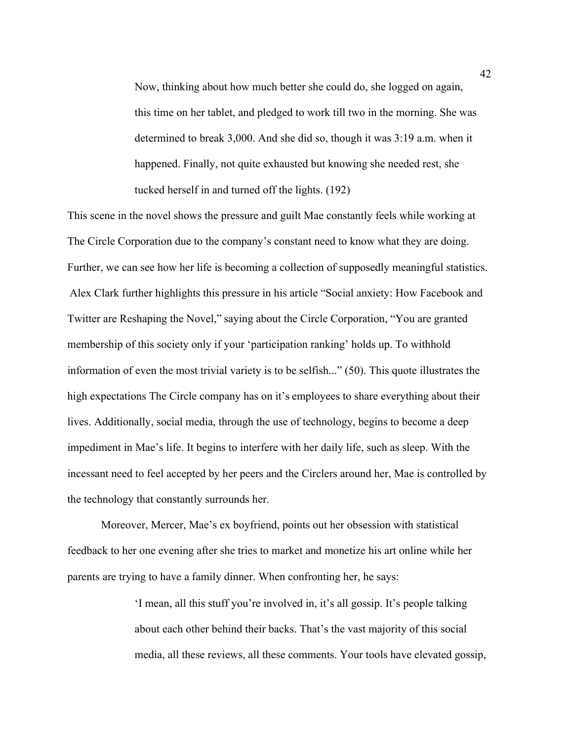Now, thinking about how much better she could do, she logged on again, this time on her tablet, and pledged to work till two in the morning. She was determined to break 3,000. And she did so, though it was 3:19 a.m. when it happened. Finally, not quite exhausted but knowing she needed rest, she tucked herself in and turned off the lights. (192)

This scene in the novel shows the pressure and guilt Mae constantly feels while working at The Circle Corporation due to the company's constant need to know what they are doing. Further, we can see how her life is becoming a collection of supposedly meaningful statistics. Alex Clark further highlights this pressure in his article "Social anxiety: How Facebook and Twitter are Reshaping the Novel," saying about the Circle Corporation, "You are granted membership of this society only if your 'participation ranking' holds up. To withhold information of even the most trivial variety is to be selfish..." (50). This quote illustrates the high expectations The Circle company has on it's employees to share everything about their lives. Additionally, social media, through the use of technology, begins to become a deep impediment in Mae's life. It begins to interfere with her daily life, such as sleep. With the incessant need to feel accepted by her peers and the Circlers around her, Mae is controlled by the technology that constantly surrounds her.

Moreover, Mercer, Mae's ex boyfriend, points out her obsession with statistical feedback to her one evening after she tries to market and monetize his art online while her parents are trying to have a family dinner. When confronting her, he says:

> 'I mean, all this stuff you're involved in, it's all gossip. It's people talking about each other behind their backs. That's the vast majority of this social media, all these reviews, all these comments. Your tools have elevated gossip,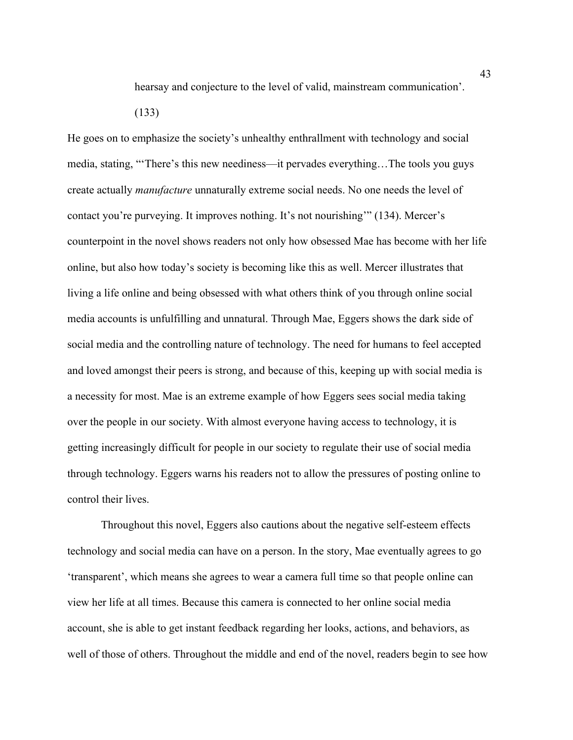hearsay and conjecture to the level of valid, mainstream communication'.

(133)

He goes on to emphasize the society's unhealthy enthrallment with technology and social media, stating, "'There's this new neediness—it pervades everything…The tools you guys create actually *manufacture* unnaturally extreme social needs. No one needs the level of contact you're purveying. It improves nothing. It's not nourishing'" (134). Mercer's counterpoint in the novel shows readers not only how obsessed Mae has become with her life online, but also how today's society is becoming like this as well. Mercer illustrates that living a life online and being obsessed with what others think of you through online social media accounts is unfulfilling and unnatural. Through Mae, Eggers shows the dark side of social media and the controlling nature of technology. The need for humans to feel accepted and loved amongst their peers is strong, and because of this, keeping up with social media is a necessity for most. Mae is an extreme example of how Eggers sees social media taking over the people in our society. With almost everyone having access to technology, it is getting increasingly difficult for people in our society to regulate their use of social media through technology. Eggers warns his readers not to allow the pressures of posting online to control their lives.

Throughout this novel, Eggers also cautions about the negative self-esteem effects technology and social media can have on a person. In the story, Mae eventually agrees to go 'transparent', which means she agrees to wear a camera full time so that people online can view her life at all times. Because this camera is connected to her online social media account, she is able to get instant feedback regarding her looks, actions, and behaviors, as well of those of others. Throughout the middle and end of the novel, readers begin to see how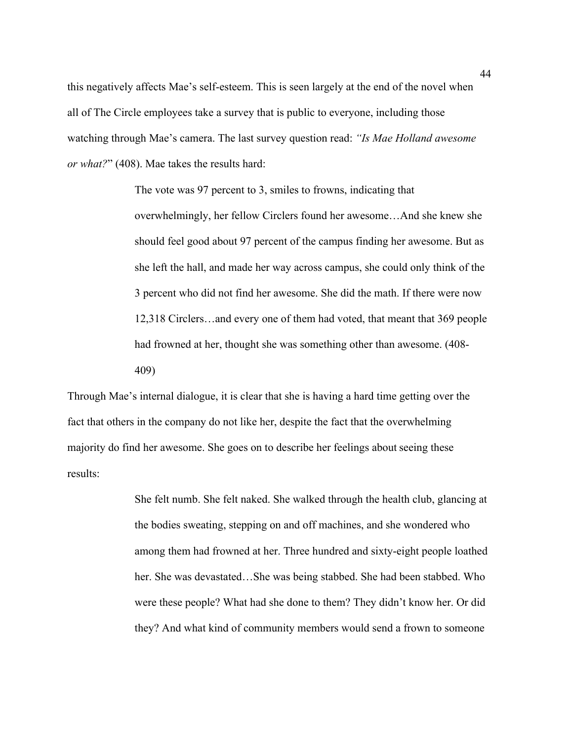this negatively affects Mae's self-esteem. This is seen largely at the end of the novel when all of The Circle employees take a survey that is public to everyone, including those watching through Mae's camera. The last survey question read: *"Is Mae Holland awesome or what?*" (408). Mae takes the results hard:

> The vote was 97 percent to 3, smiles to frowns, indicating that overwhelmingly, her fellow Circlers found her awesome…And she knew she should feel good about 97 percent of the campus finding her awesome. But as she left the hall, and made her way across campus, she could only think of the 3 percent who did not find her awesome. She did the math. If there were now 12,318 Circlers…and every one of them had voted, that meant that 369 people had frowned at her, thought she was something other than awesome. (408- 409)

Through Mae's internal dialogue, it is clear that she is having a hard time getting over the fact that others in the company do not like her, despite the fact that the overwhelming majority do find her awesome. She goes on to describe her feelings about seeing these results:

> She felt numb. She felt naked. She walked through the health club, glancing at the bodies sweating, stepping on and off machines, and she wondered who among them had frowned at her. Three hundred and sixty-eight people loathed her. She was devastated…She was being stabbed. She had been stabbed. Who were these people? What had she done to them? They didn't know her. Or did they? And what kind of community members would send a frown to someone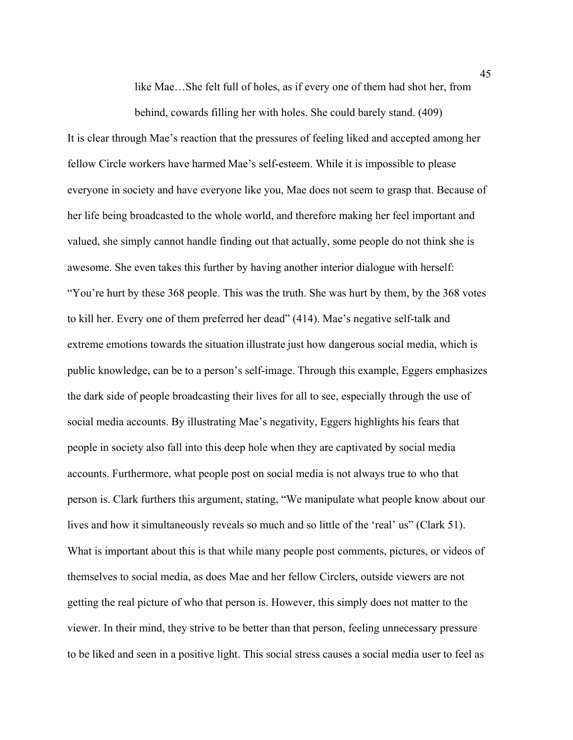like Mae…She felt full of holes, as if every one of them had shot her, from

behind, cowards filling her with holes. She could barely stand. (409) It is clear through Mae's reaction that the pressures of feeling liked and accepted among her fellow Circle workers have harmed Mae's self-esteem. While it is impossible to please everyone in society and have everyone like you, Mae does not seem to grasp that. Because of her life being broadcasted to the whole world, and therefore making her feel important and valued, she simply cannot handle finding out that actually, some people do not think she is awesome. She even takes this further by having another interior dialogue with herself: "You're hurt by these 368 people. This was the truth. She was hurt by them, by the 368 votes to kill her. Every one of them preferred her dead" (414). Mae's negative self-talk and extreme emotions towards the situation illustrate just how dangerous social media, which is public knowledge, can be to a person's self-image. Through this example, Eggers emphasizes the dark side of people broadcasting their lives for all to see, especially through the use of social media accounts. By illustrating Mae's negativity, Eggers highlights his fears that people in society also fall into this deep hole when they are captivated by social media accounts. Furthermore, what people post on social media is not always true to who that person is. Clark furthers this argument, stating, "We manipulate what people know about our lives and how it simultaneously reveals so much and so little of the 'real' us" (Clark 51). What is important about this is that while many people post comments, pictures, or videos of themselves to social media, as does Mae and her fellow Circlers, outside viewers are not getting the real picture of who that person is. However, this simply does not matter to the viewer. In their mind, they strive to be better than that person, feeling unnecessary pressure to be liked and seen in a positive light. This social stress causes a social media user to feel as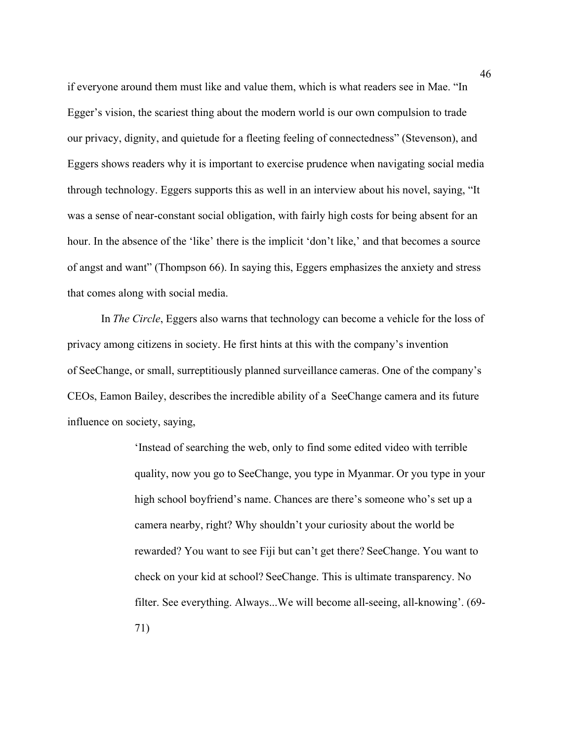if everyone around them must like and value them, which is what readers see in Mae. "In Egger's vision, the scariest thing about the modern world is our own compulsion to trade our privacy, dignity, and quietude for a fleeting feeling of connectedness" (Stevenson), and Eggers shows readers why it is important to exercise prudence when navigating social media through technology. Eggers supports this as well in an interview about his novel, saying, "It was a sense of near-constant social obligation, with fairly high costs for being absent for an hour. In the absence of the 'like' there is the implicit 'don't like,' and that becomes a source of angst and want" (Thompson 66). In saying this, Eggers emphasizes the anxiety and stress that comes along with social media.

In *The Circle*, Eggers also warns that technology can become a vehicle for the loss of privacy among citizens in society. He first hints at this with the company's invention of SeeChange, or small, surreptitiously planned surveillance cameras. One of the company's CEOs, Eamon Bailey, describes the incredible ability of a SeeChange camera and its future influence on society, saying,  

> 'Instead of searching the web, only to find some edited video with terrible quality, now you go to SeeChange, you type in Myanmar. Or you type in your high school boyfriend's name. Chances are there's someone who's set up a camera nearby, right? Why shouldn't your curiosity about the world be rewarded? You want to see Fiji but can't get there? SeeChange. You want to check on your kid at school? SeeChange. This is ultimate transparency. No filter. See everything. Always...We will become all-seeing, all-knowing'. (69- 71)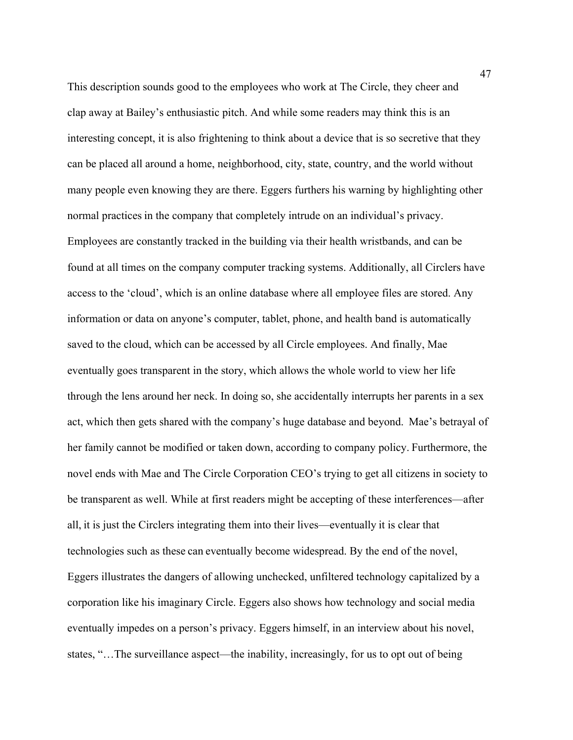This description sounds good to the employees who work at The Circle, they cheer and clap away at Bailey's enthusiastic pitch. And while some readers may think this is an interesting concept, it is also frightening to think about a device that is so secretive that they can be placed all around a home, neighborhood, city, state, country, and the world without many people even knowing they are there. Eggers furthers his warning by highlighting other normal practices in the company that completely intrude on an individual's privacy. Employees are constantly tracked in the building via their health wristbands, and can be found at all times on the company computer tracking systems. Additionally, all Circlers have access to the 'cloud', which is an online database where all employee files are stored. Any information or data on anyone's computer, tablet, phone, and health band is automatically saved to the cloud, which can be accessed by all Circle employees. And finally, Mae eventually goes transparent in the story, which allows the whole world to view her life through the lens around her neck. In doing so, she accidentally interrupts her parents in a sex act, which then gets shared with the company's huge database and beyond. Mae's betrayal of her family cannot be modified or taken down, according to company policy. Furthermore, the novel ends with Mae and The Circle Corporation CEO's trying to get all citizens in society to be transparent as well. While at first readers might be accepting of these interferences—after all, it is just the Circlers integrating them into their lives—eventually it is clear that technologies such as these can eventually become widespread. By the end of the novel, Eggers illustrates the dangers of allowing unchecked, unfiltered technology capitalized by a corporation like his imaginary Circle. Eggers also shows how technology and social media eventually impedes on a person's privacy. Eggers himself, in an interview about his novel, states, "…The surveillance aspect—the inability, increasingly, for us to opt out of being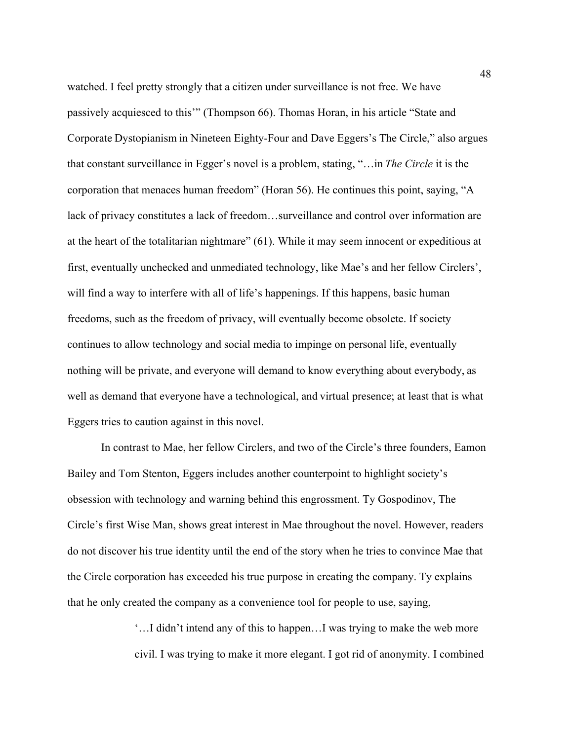watched. I feel pretty strongly that a citizen under surveillance is not free. We have passively acquiesced to this'" (Thompson 66). Thomas Horan, in his article "State and Corporate Dystopianism in Nineteen Eighty-Four and Dave Eggers's The Circle," also argues that constant surveillance in Egger's novel is a problem, stating, "…in *The Circle* it is the corporation that menaces human freedom" (Horan 56). He continues this point, saying, "A lack of privacy constitutes a lack of freedom…surveillance and control over information are at the heart of the totalitarian nightmare" (61). While it may seem innocent or expeditious at first, eventually unchecked and unmediated technology, like Mae's and her fellow Circlers', will find a way to interfere with all of life's happenings. If this happens, basic human freedoms, such as the freedom of privacy, will eventually become obsolete. If society continues to allow technology and social media to impinge on personal life, eventually nothing will be private, and everyone will demand to know everything about everybody, as well as demand that everyone have a technological, and virtual presence; at least that is what Eggers tries to caution against in this novel.

In contrast to Mae, her fellow Circlers, and two of the Circle's three founders, Eamon Bailey and Tom Stenton, Eggers includes another counterpoint to highlight society's obsession with technology and warning behind this engrossment. Ty Gospodinov, The Circle's first Wise Man, shows great interest in Mae throughout the novel. However, readers do not discover his true identity until the end of the story when he tries to convince Mae that the Circle corporation has exceeded his true purpose in creating the company. Ty explains that he only created the company as a convenience tool for people to use, saying,

> '…I didn't intend any of this to happen…I was trying to make the web more civil. I was trying to make it more elegant. I got rid of anonymity. I combined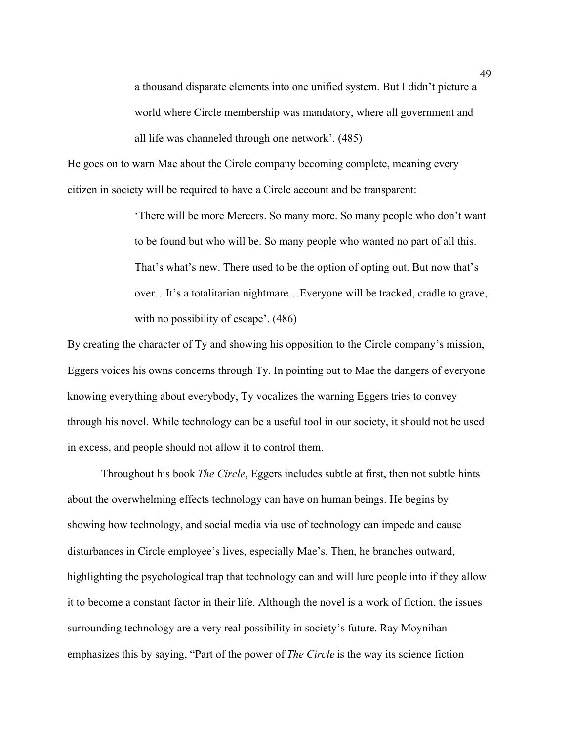a thousand disparate elements into one unified system. But I didn't picture a world where Circle membership was mandatory, where all government and all life was channeled through one network'. (485)

He goes on to warn Mae about the Circle company becoming complete, meaning every citizen in society will be required to have a Circle account and be transparent:

> 'There will be more Mercers. So many more. So many people who don't want to be found but who will be. So many people who wanted no part of all this. That's what's new. There used to be the option of opting out. But now that's over…It's a totalitarian nightmare…Everyone will be tracked, cradle to grave, with no possibility of escape'. (486)

By creating the character of Ty and showing his opposition to the Circle company's mission, Eggers voices his owns concerns through Ty. In pointing out to Mae the dangers of everyone knowing everything about everybody, Ty vocalizes the warning Eggers tries to convey through his novel. While technology can be a useful tool in our society, it should not be used in excess, and people should not allow it to control them.

Throughout his book *The Circle*, Eggers includes subtle at first, then not subtle hints about the overwhelming effects technology can have on human beings. He begins by showing how technology, and social media via use of technology can impede and cause disturbances in Circle employee's lives, especially Mae's. Then, he branches outward, highlighting the psychological trap that technology can and will lure people into if they allow it to become a constant factor in their life. Although the novel is a work of fiction, the issues surrounding technology are a very real possibility in society's future. Ray Moynihan emphasizes this by saying, "Part of the power of *The Circle* is the way its science fiction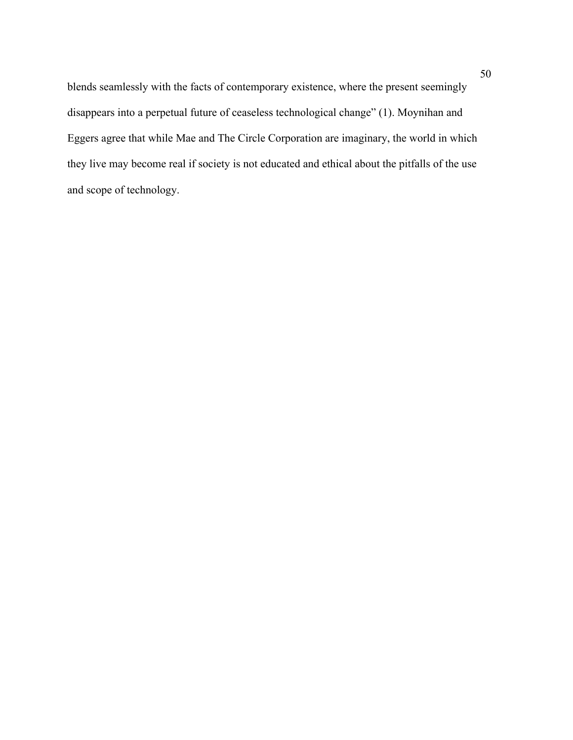blends seamlessly with the facts of contemporary existence, where the present seemingly disappears into a perpetual future of ceaseless technological change" (1). Moynihan and Eggers agree that while Mae and The Circle Corporation are imaginary, the world in which they live may become real if society is not educated and ethical about the pitfalls of the use and scope of technology.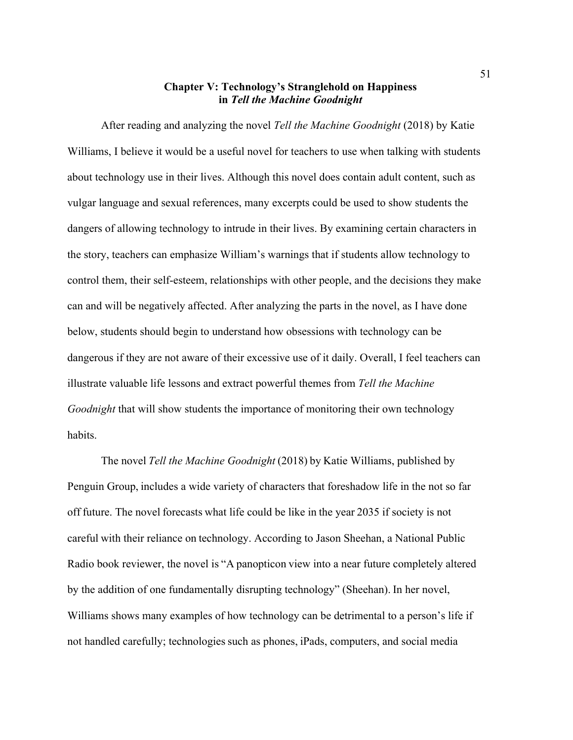## **Chapter V: Technology's Stranglehold on Happiness in** *Tell the Machine Goodnight*

After reading and analyzing the novel *Tell the Machine Goodnight* (2018) by Katie Williams, I believe it would be a useful novel for teachers to use when talking with students about technology use in their lives. Although this novel does contain adult content, such as vulgar language and sexual references, many excerpts could be used to show students the dangers of allowing technology to intrude in their lives. By examining certain characters in the story, teachers can emphasize William's warnings that if students allow technology to control them, their self-esteem, relationships with other people, and the decisions they make can and will be negatively affected. After analyzing the parts in the novel, as I have done below, students should begin to understand how obsessions with technology can be dangerous if they are not aware of their excessive use of it daily. Overall, I feel teachers can illustrate valuable life lessons and extract powerful themes from *Tell the Machine Goodnight* that will show students the importance of monitoring their own technology habits.

The novel *Tell the Machine Goodnight* (2018) by Katie Williams, published by Penguin Group, includes a wide variety of characters that foreshadow life in the not so far off future. The novel forecasts what life could be like in the year 2035 if society is not careful with their reliance on technology. According to Jason Sheehan, a National Public Radio book reviewer, the novel is "A panopticon view into a near future completely altered by the addition of one fundamentally disrupting technology" (Sheehan). In her novel, Williams shows many examples of how technology can be detrimental to a person's life if not handled carefully; technologies such as phones, iPads, computers, and social media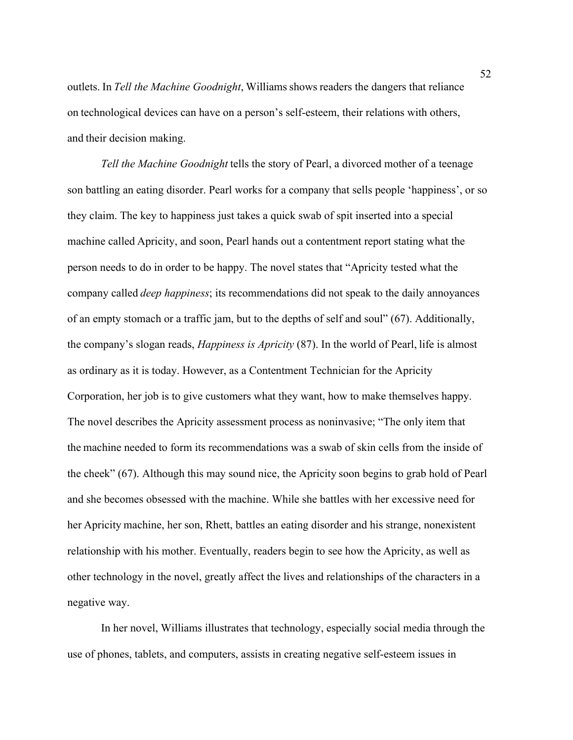outlets. In *Tell the Machine Goodnight*, Williams shows readers the dangers that reliance on technological devices can have on a person's self-esteem, their relations with others, and their decision making.

*Tell the Machine Goodnight* tells the story of Pearl, a divorced mother of a teenage son battling an eating disorder. Pearl works for a company that sells people 'happiness', or so they claim. The key to happiness just takes a quick swab of spit inserted into a special machine called Apricity, and soon, Pearl hands out a contentment report stating what the person needs to do in order to be happy. The novel states that "Apricity tested what the company called *deep happiness*; its recommendations did not speak to the daily annoyances of an empty stomach or a traffic jam, but to the depths of self and soul" (67). Additionally, the company's slogan reads, *Happiness is Apricity* (87). In the world of Pearl, life is almost as ordinary as it is today. However, as a Contentment Technician for the Apricity Corporation, her job is to give customers what they want, how to make themselves happy. The novel describes the Apricity assessment process as noninvasive; "The only item that the machine needed to form its recommendations was a swab of skin cells from the inside of the cheek" (67). Although this may sound nice, the Apricity soon begins to grab hold of Pearl and she becomes obsessed with the machine. While she battles with her excessive need for her Apricity machine, her son, Rhett, battles an eating disorder and his strange, nonexistent relationship with his mother. Eventually, readers begin to see how the Apricity, as well as other technology in the novel, greatly affect the lives and relationships of the characters in a negative way.

In her novel, Williams illustrates that technology, especially social media through the use of phones, tablets, and computers, assists in creating negative self-esteem issues in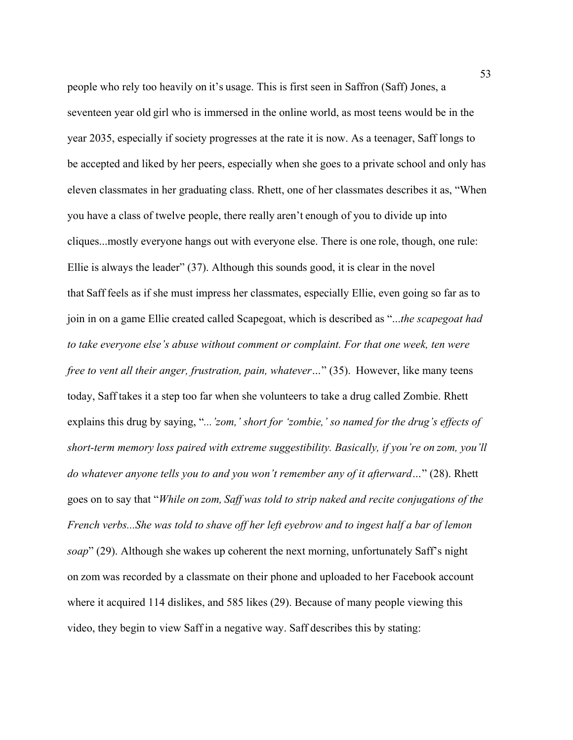people who rely too heavily on it's usage. This is first seen in Saffron (Saff) Jones, a seventeen year old girl who is immersed in the online world, as most teens would be in the year 2035, especially if society progresses at the rate it is now. As a teenager, Saff longs to be accepted and liked by her peers, especially when she goes to a private school and only has eleven classmates in her graduating class. Rhett, one of her classmates describes it as, "When you have a class of twelve people, there really aren't enough of you to divide up into cliques...mostly everyone hangs out with everyone else. There is one role, though, one rule: Ellie is always the leader" (37). Although this sounds good, it is clear in the novel that Saff feels as if she must impress her classmates, especially Ellie, even going so far as to join in on a game Ellie created called Scapegoat, which is described as "...*the scapegoat had to take everyone else's abuse without comment or complaint. For that one week, ten were free to vent all their anger, frustration, pain, whatever…*" (35). However, like many teens today, Saff takes it a step too far when she volunteers to take a drug called Zombie. Rhett explains this drug by saying, "*...'zom,' short for 'zombie,' so named for the drug's effects of short-term memory loss paired with extreme suggestibility. Basically, if you're on zom, you'll do whatever anyone tells you to and you won't remember any of it afterward…*" (28). Rhett goes on to say that "*While on zom, Saff was told to strip naked and recite conjugations of the French verbs...She was told to shave off her left eyebrow and to ingest half a bar of lemon soap*" (29). Although she wakes up coherent the next morning, unfortunately Saff's night on zom was recorded by a classmate on their phone and uploaded to her Facebook account where it acquired 114 dislikes, and 585 likes (29). Because of many people viewing this video, they begin to view Saff in a negative way. Saff describes this by stating: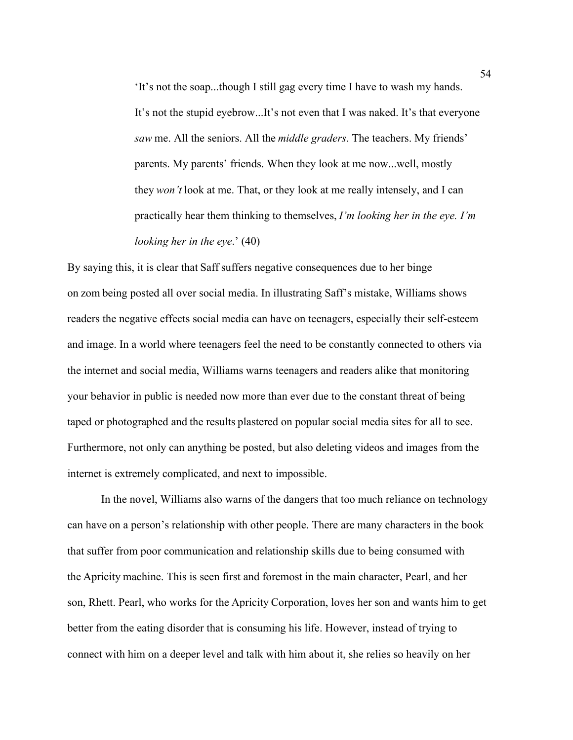'It's not the soap...though I still gag every time I have to wash my hands. It's not the stupid eyebrow...It's not even that I was naked. It's that everyone *saw* me. All the seniors. All the *middle graders*. The teachers. My friends' parents. My parents' friends. When they look at me now...well, mostly they *won't* look at me. That, or they look at me really intensely, and I can practically hear them thinking to themselves, *I'm looking her in the eye. I'm looking her in the eye*.' (40)

By saying this, it is clear that Saff suffers negative consequences due to her binge on zom being posted all over social media. In illustrating Saff's mistake, Williams shows readers the negative effects social media can have on teenagers, especially their self-esteem and image. In a world where teenagers feel the need to be constantly connected to others via the internet and social media, Williams warns teenagers and readers alike that monitoring your behavior in public is needed now more than ever due to the constant threat of being taped or photographed and the results plastered on popular social media sites for all to see. Furthermore, not only can anything be posted, but also deleting videos and images from the internet is extremely complicated, and next to impossible.

In the novel, Williams also warns of the dangers that too much reliance on technology can have on a person's relationship with other people. There are many characters in the book that suffer from poor communication and relationship skills due to being consumed with the Apricity machine. This is seen first and foremost in the main character, Pearl, and her son, Rhett. Pearl, who works for the Apricity Corporation, loves her son and wants him to get better from the eating disorder that is consuming his life. However, instead of trying to connect with him on a deeper level and talk with him about it, she relies so heavily on her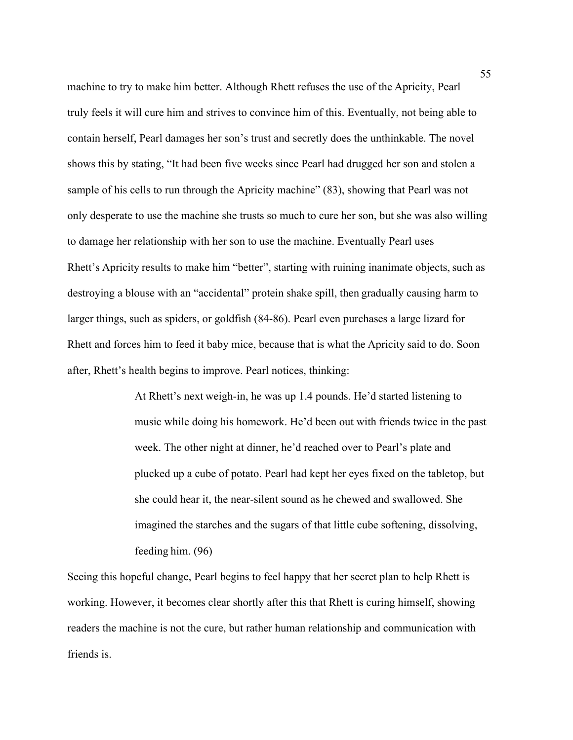machine to try to make him better. Although Rhett refuses the use of the Apricity, Pearl truly feels it will cure him and strives to convince him of this. Eventually, not being able to contain herself, Pearl damages her son's trust and secretly does the unthinkable. The novel shows this by stating, "It had been five weeks since Pearl had drugged her son and stolen a sample of his cells to run through the Apricity machine" (83), showing that Pearl was not only desperate to use the machine she trusts so much to cure her son, but she was also willing to damage her relationship with her son to use the machine. Eventually Pearl uses Rhett's Apricity results to make him "better", starting with ruining inanimate objects, such as destroying a blouse with an "accidental" protein shake spill, then gradually causing harm to larger things, such as spiders, or goldfish (84-86). Pearl even purchases a large lizard for Rhett and forces him to feed it baby mice, because that is what the Apricity said to do. Soon after, Rhett's health begins to improve. Pearl notices, thinking:

> At Rhett's next weigh-in, he was up 1.4 pounds. He'd started listening to music while doing his homework. He'd been out with friends twice in the past week. The other night at dinner, he'd reached over to Pearl's plate and plucked up a cube of potato. Pearl had kept her eyes fixed on the tabletop, but she could hear it, the near-silent sound as he chewed and swallowed. She imagined the starches and the sugars of that little cube softening, dissolving, feeding him. (96)

Seeing this hopeful change, Pearl begins to feel happy that her secret plan to help Rhett is working. However, it becomes clear shortly after this that Rhett is curing himself, showing readers the machine is not the cure, but rather human relationship and communication with friends is.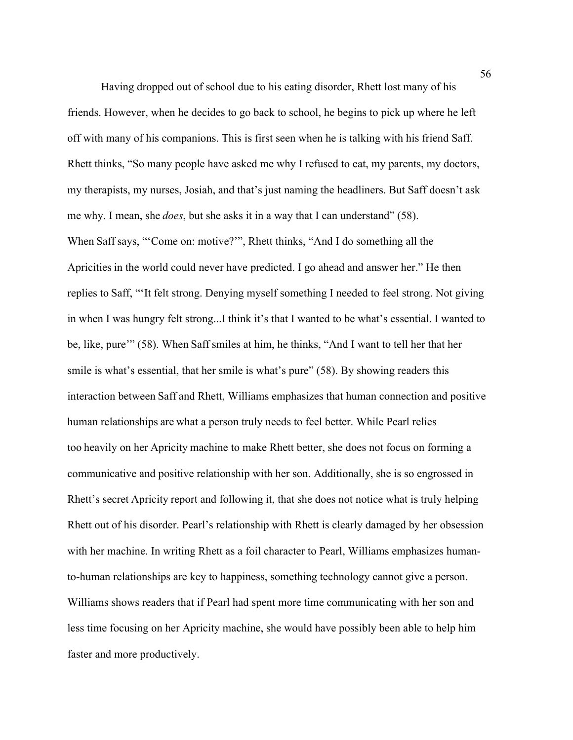Having dropped out of school due to his eating disorder, Rhett lost many of his friends. However, when he decides to go back to school, he begins to pick up where he left off with many of his companions. This is first seen when he is talking with his friend Saff. Rhett thinks, "So many people have asked me why I refused to eat, my parents, my doctors, my therapists, my nurses, Josiah, and that's just naming the headliners. But Saff doesn't ask me why. I mean, she *does*, but she asks it in a way that I can understand" (58). When Saff says, "'Come on: motive?'", Rhett thinks, "And I do something all the Apricities in the world could never have predicted. I go ahead and answer her." He then replies to Saff, "'It felt strong. Denying myself something I needed to feel strong. Not giving in when I was hungry felt strong...I think it's that I wanted to be what's essential. I wanted to be, like, pure'" (58). When Saff smiles at him, he thinks, "And I want to tell her that her smile is what's essential, that her smile is what's pure" (58). By showing readers this interaction between Saff and Rhett, Williams emphasizes that human connection and positive human relationships are what a person truly needs to feel better. While Pearl relies too heavily on her Apricity machine to make Rhett better, she does not focus on forming a communicative and positive relationship with her son. Additionally, she is so engrossed in Rhett's secret Apricity report and following it, that she does not notice what is truly helping Rhett out of his disorder. Pearl's relationship with Rhett is clearly damaged by her obsession with her machine. In writing Rhett as a foil character to Pearl, Williams emphasizes humanto-human relationships are key to happiness, something technology cannot give a person. Williams shows readers that if Pearl had spent more time communicating with her son and less time focusing on her Apricity machine, she would have possibly been able to help him faster and more productively.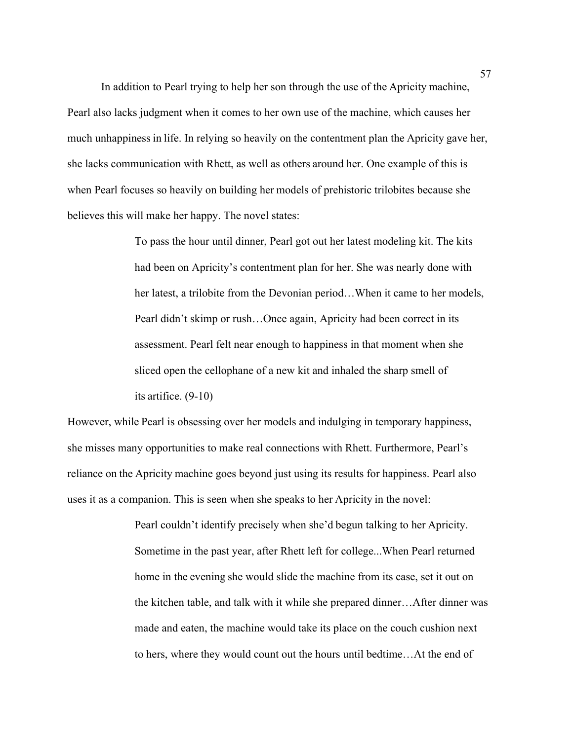In addition to Pearl trying to help her son through the use of the Apricity machine, Pearl also lacks judgment when it comes to her own use of the machine, which causes her much unhappiness in life. In relying so heavily on the contentment plan the Apricity gave her, she lacks communication with Rhett, as well as others around her. One example of this is when Pearl focuses so heavily on building her models of prehistoric trilobites because she believes this will make her happy. The novel states:

> To pass the hour until dinner, Pearl got out her latest modeling kit. The kits had been on Apricity's contentment plan for her. She was nearly done with her latest, a trilobite from the Devonian period…When it came to her models, Pearl didn't skimp or rush…Once again, Apricity had been correct in its assessment. Pearl felt near enough to happiness in that moment when she sliced open the cellophane of a new kit and inhaled the sharp smell of its artifice. (9-10)

However, while Pearl is obsessing over her models and indulging in temporary happiness, she misses many opportunities to make real connections with Rhett. Furthermore, Pearl's reliance on the Apricity machine goes beyond just using its results for happiness. Pearl also uses it as a companion. This is seen when she speaks to her Apricity in the novel:

> Pearl couldn't identify precisely when she'd begun talking to her Apricity. Sometime in the past year, after Rhett left for college...When Pearl returned home in the evening she would slide the machine from its case, set it out on the kitchen table, and talk with it while she prepared dinner…After dinner was made and eaten, the machine would take its place on the couch cushion next to hers, where they would count out the hours until bedtime…At the end of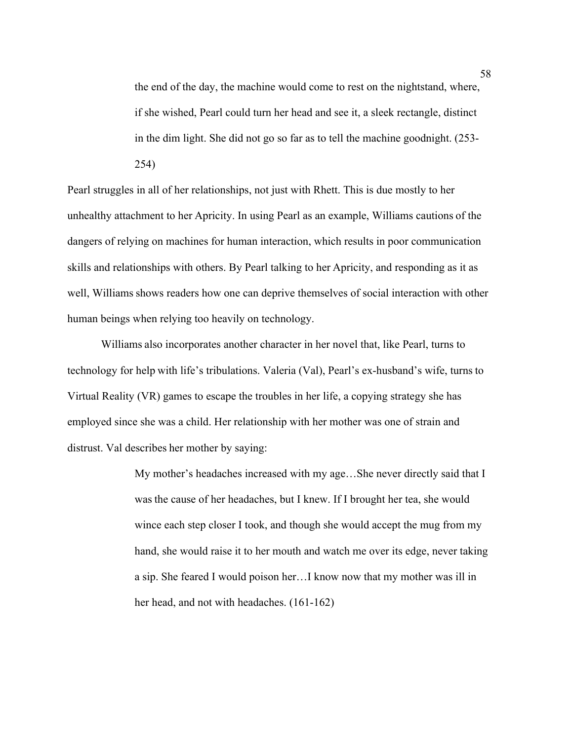the end of the day, the machine would come to rest on the nightstand, where, if she wished, Pearl could turn her head and see it, a sleek rectangle, distinct in the dim light. She did not go so far as to tell the machine goodnight. (253- 254)

Pearl struggles in all of her relationships, not just with Rhett. This is due mostly to her unhealthy attachment to her Apricity. In using Pearl as an example, Williams cautions of the dangers of relying on machines for human interaction, which results in poor communication skills and relationships with others. By Pearl talking to her Apricity, and responding as it as well, Williams shows readers how one can deprive themselves of social interaction with other human beings when relying too heavily on technology.

Williams also incorporates another character in her novel that, like Pearl, turns to technology for help with life's tribulations. Valeria (Val), Pearl's ex-husband's wife, turns to Virtual Reality (VR) games to escape the troubles in her life, a copying strategy she has employed since she was a child. Her relationship with her mother was one of strain and distrust. Val describes her mother by saying:

> My mother's headaches increased with my age…She never directly said that I was the cause of her headaches, but I knew. If I brought her tea, she would wince each step closer I took, and though she would accept the mug from my hand, she would raise it to her mouth and watch me over its edge, never taking a sip. She feared I would poison her…I know now that my mother was ill in her head, and not with headaches. (161-162)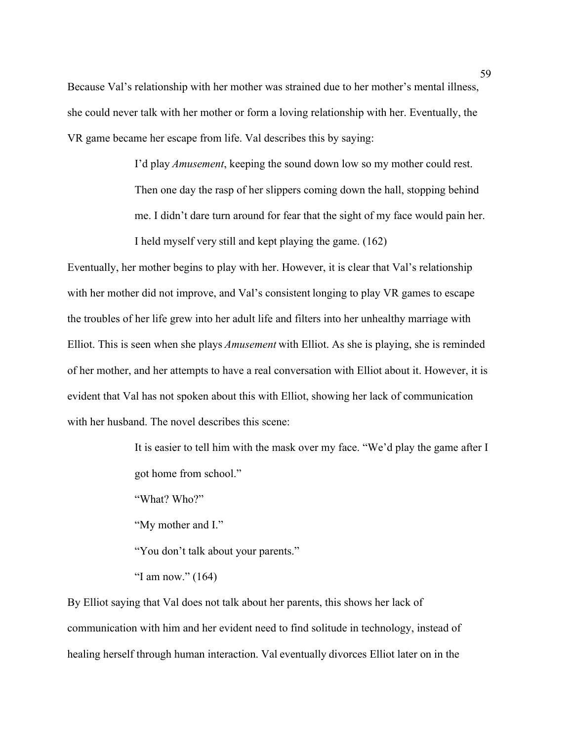Because Val's relationship with her mother was strained due to her mother's mental illness, she could never talk with her mother or form a loving relationship with her. Eventually, the VR game became her escape from life. Val describes this by saying:

> I'd play *Amusement*, keeping the sound down low so my mother could rest. Then one day the rasp of her slippers coming down the hall, stopping behind me. I didn't dare turn around for fear that the sight of my face would pain her. I held myself very still and kept playing the game. (162)

Eventually, her mother begins to play with her. However, it is clear that Val's relationship with her mother did not improve, and Val's consistent longing to play VR games to escape the troubles of her life grew into her adult life and filters into her unhealthy marriage with Elliot. This is seen when she plays *Amusement* with Elliot. As she is playing, she is reminded of her mother, and her attempts to have a real conversation with Elliot about it. However, it is evident that Val has not spoken about this with Elliot, showing her lack of communication with her husband. The novel describes this scene:

> It is easier to tell him with the mask over my face. "We'd play the game after I got home from school."

"What? Who?"

"My mother and I."

"You don't talk about your parents."

"I am now."  $(164)$ 

By Elliot saying that Val does not talk about her parents, this shows her lack of communication with him and her evident need to find solitude in technology, instead of healing herself through human interaction. Val eventually divorces Elliot later on in the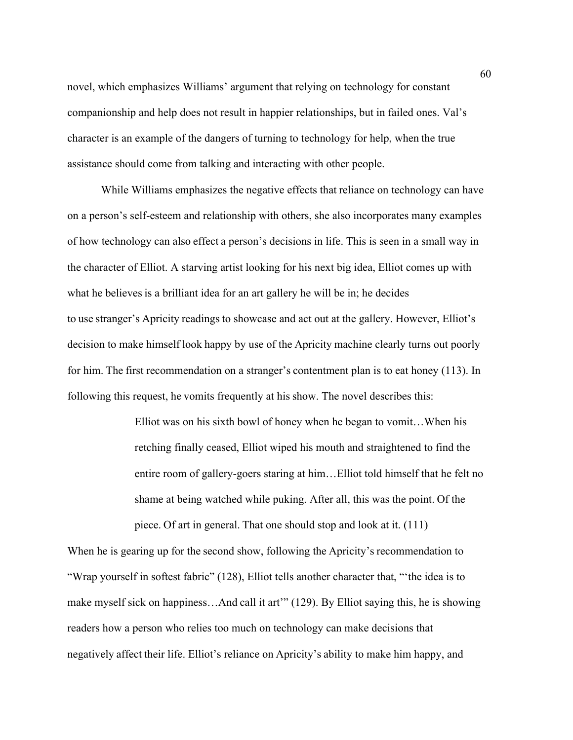novel, which emphasizes Williams' argument that relying on technology for constant companionship and help does not result in happier relationships, but in failed ones. Val's character is an example of the dangers of turning to technology for help, when the true assistance should come from talking and interacting with other people.

While Williams emphasizes the negative effects that reliance on technology can have on a person's self-esteem and relationship with others, she also incorporates many examples of how technology can also effect a person's decisions in life. This is seen in a small way in the character of Elliot. A starving artist looking for his next big idea, Elliot comes up with what he believes is a brilliant idea for an art gallery he will be in; he decides to use stranger's Apricity readings to showcase and act out at the gallery. However, Elliot's decision to make himself look happy by use of the Apricity machine clearly turns out poorly for him. The first recommendation on a stranger's contentment plan is to eat honey (113). In following this request, he vomits frequently at his show. The novel describes this:

> Elliot was on his sixth bowl of honey when he began to vomit…When his retching finally ceased, Elliot wiped his mouth and straightened to find the entire room of gallery-goers staring at him…Elliot told himself that he felt no shame at being watched while puking. After all, this was the point. Of the piece. Of art in general. That one should stop and look at it. (111)

When he is gearing up for the second show, following the Apricity's recommendation to "Wrap yourself in softest fabric" (128), Elliot tells another character that, "'the idea is to make myself sick on happiness…And call it art'" (129). By Elliot saying this, he is showing readers how a person who relies too much on technology can make decisions that negatively affect their life. Elliot's reliance on Apricity's ability to make him happy, and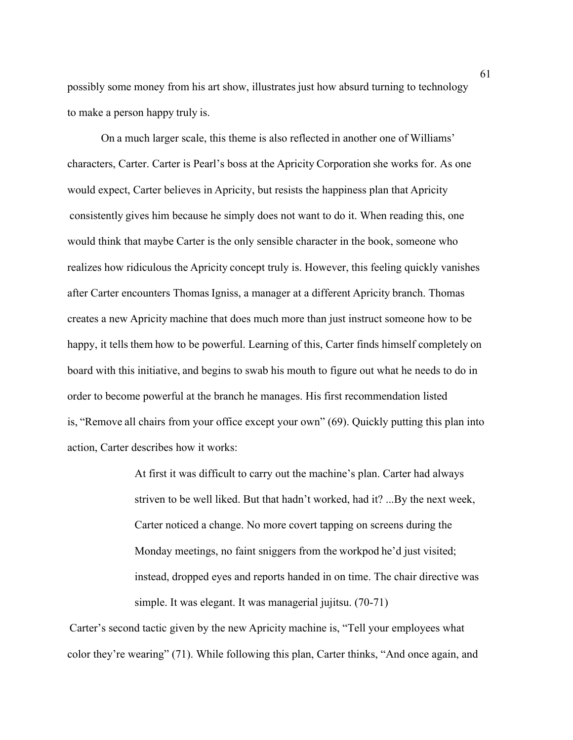possibly some money from his art show, illustrates just how absurd turning to technology to make a person happy truly is.

On a much larger scale, this theme is also reflected in another one of Williams' characters, Carter. Carter is Pearl's boss at the Apricity Corporation she works for. As one would expect, Carter believes in Apricity, but resists the happiness plan that Apricity consistently gives him because he simply does not want to do it. When reading this, one would think that maybe Carter is the only sensible character in the book, someone who realizes how ridiculous the Apricity concept truly is. However, this feeling quickly vanishes after Carter encounters Thomas Igniss, a manager at a different Apricity branch. Thomas creates a new Apricity machine that does much more than just instruct someone how to be happy, it tells them how to be powerful. Learning of this, Carter finds himself completely on board with this initiative, and begins to swab his mouth to figure out what he needs to do in order to become powerful at the branch he manages. His first recommendation listed is, "Remove all chairs from your office except your own" (69). Quickly putting this plan into action, Carter describes how it works:

> At first it was difficult to carry out the machine's plan. Carter had always striven to be well liked. But that hadn't worked, had it? ...By the next week, Carter noticed a change. No more covert tapping on screens during the Monday meetings, no faint sniggers from the workpod he'd just visited; instead, dropped eyes and reports handed in on time. The chair directive was simple. It was elegant. It was managerial jujitsu. (70-71)

Carter's second tactic given by the new Apricity machine is, "Tell your employees what color they're wearing" (71). While following this plan, Carter thinks, "And once again, and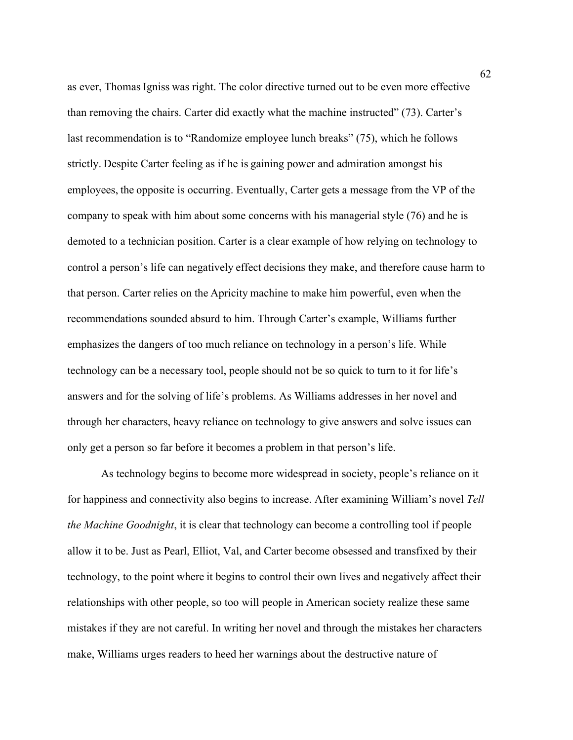as ever, Thomas Igniss was right. The color directive turned out to be even more effective than removing the chairs. Carter did exactly what the machine instructed" (73). Carter's last recommendation is to "Randomize employee lunch breaks" (75), which he follows strictly. Despite Carter feeling as if he is gaining power and admiration amongst his employees, the opposite is occurring. Eventually, Carter gets a message from the VP of the company to speak with him about some concerns with his managerial style (76) and he is demoted to a technician position. Carter is a clear example of how relying on technology to control a person's life can negatively effect decisions they make, and therefore cause harm to that person. Carter relies on the Apricity machine to make him powerful, even when the recommendations sounded absurd to him. Through Carter's example, Williams further emphasizes the dangers of too much reliance on technology in a person's life. While technology can be a necessary tool, people should not be so quick to turn to it for life's answers and for the solving of life's problems. As Williams addresses in her novel and through her characters, heavy reliance on technology to give answers and solve issues can only get a person so far before it becomes a problem in that person's life.

As technology begins to become more widespread in society, people's reliance on it for happiness and connectivity also begins to increase. After examining William's novel *Tell the Machine Goodnight*, it is clear that technology can become a controlling tool if people allow it to be. Just as Pearl, Elliot, Val, and Carter become obsessed and transfixed by their technology, to the point where it begins to control their own lives and negatively affect their relationships with other people, so too will people in American society realize these same mistakes if they are not careful. In writing her novel and through the mistakes her characters make, Williams urges readers to heed her warnings about the destructive nature of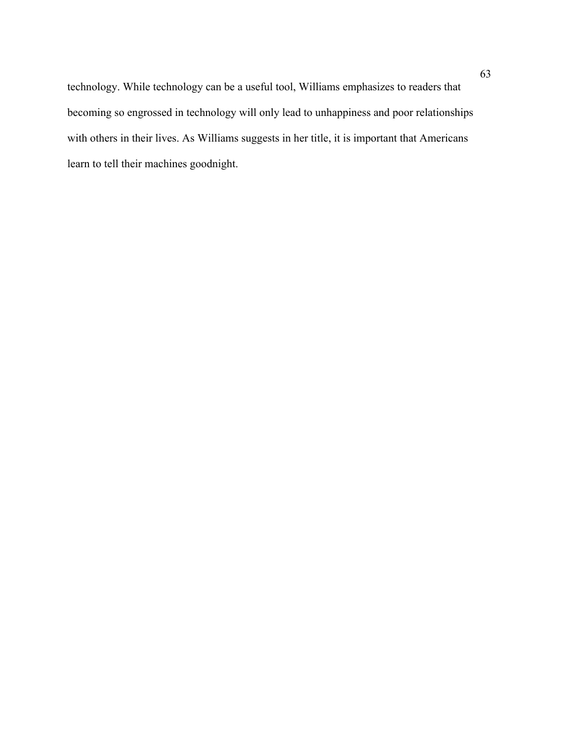technology. While technology can be a useful tool, Williams emphasizes to readers that becoming so engrossed in technology will only lead to unhappiness and poor relationships with others in their lives. As Williams suggests in her title, it is important that Americans learn to tell their machines goodnight.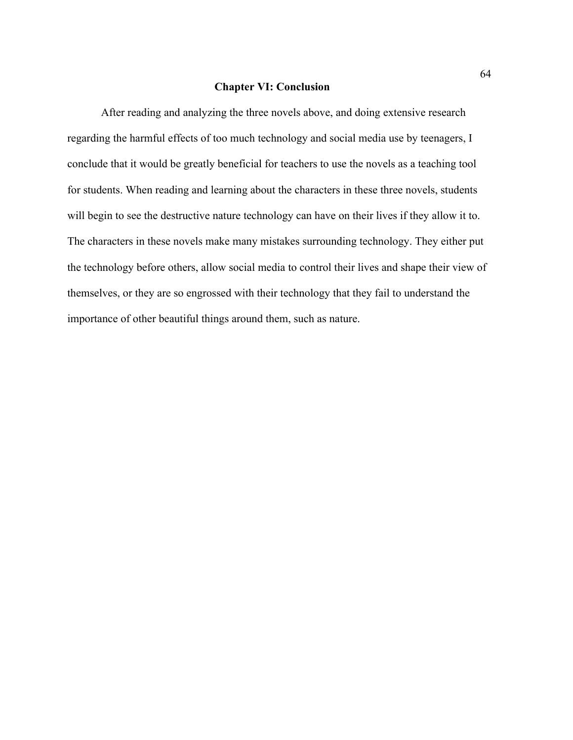#### **Chapter VI: Conclusion**

After reading and analyzing the three novels above, and doing extensive research regarding the harmful effects of too much technology and social media use by teenagers, I conclude that it would be greatly beneficial for teachers to use the novels as a teaching tool for students. When reading and learning about the characters in these three novels, students will begin to see the destructive nature technology can have on their lives if they allow it to. The characters in these novels make many mistakes surrounding technology. They either put the technology before others, allow social media to control their lives and shape their view of themselves, or they are so engrossed with their technology that they fail to understand the importance of other beautiful things around them, such as nature.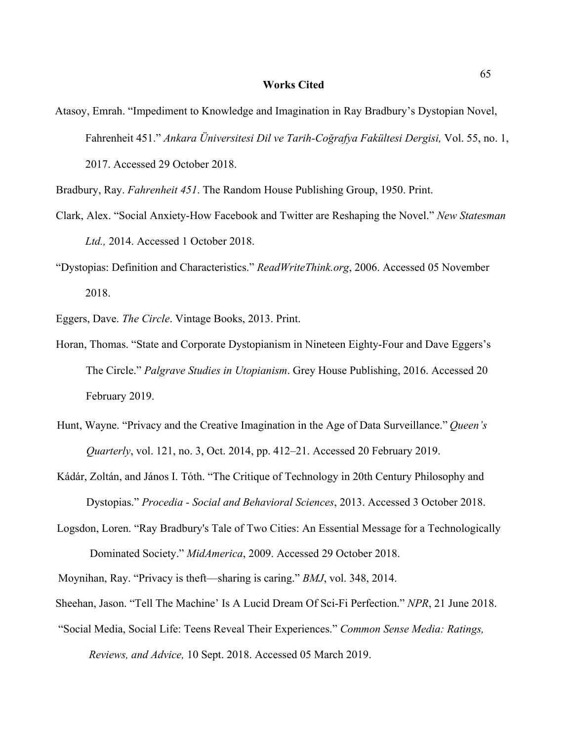#### **Works Cited**

- Atasoy, Emrah. "Impediment to Knowledge and Imagination in Ray Bradbury's Dystopian Novel, Fahrenheit 451." *Ankara Üniversitesi Dil ve Tarih-Coğrafya Fakültesi Dergisi,* Vol. 55, no. 1, 2017. Accessed 29 October 2018.
- Bradbury, Ray. *Fahrenheit 451*. The Random House Publishing Group, 1950. Print.
- Clark, Alex. "Social Anxiety-How Facebook and Twitter are Reshaping the Novel." *New Statesman Ltd.,* 2014. Accessed 1 October 2018.
- "Dystopias: Definition and Characteristics." *ReadWriteThink.org*, 2006. Accessed 05 November 2018.
- Eggers, Dave. *The Circle*. Vintage Books, 2013. Print.
- Horan, Thomas. "State and Corporate Dystopianism in Nineteen Eighty-Four and Dave Eggers's The Circle." *Palgrave Studies in Utopianism*. Grey House Publishing, 2016. Accessed 20 February 2019.
- Hunt, Wayne. "Privacy and the Creative Imagination in the Age of Data Surveillance." *Queen's Quarterly*, vol. 121, no. 3, Oct. 2014, pp. 412–21. Accessed 20 February 2019.
- Kádár, Zoltán, and János I. Tóth. "The Critique of Technology in 20th Century Philosophy and Dystopias." *Procedia - Social and Behavioral Sciences*, 2013. Accessed 3 October 2018.
- Logsdon, Loren. "Ray Bradbury's Tale of Two Cities: An Essential Message for a Technologically Dominated Society." *MidAmerica*, 2009. Accessed 29 October 2018.
- Moynihan, Ray. "Privacy is theft—sharing is caring." *BMJ*, vol. 348, 2014.
- Sheehan, Jason. "Tell The Machine' Is A Lucid Dream Of Sci-Fi Perfection." *NPR*, 21 June 2018.
- "Social Media, Social Life: Teens Reveal Their Experiences." *Common Sense Media: Ratings, Reviews, and Advice,* 10 Sept. 2018. Accessed 05 March 2019.